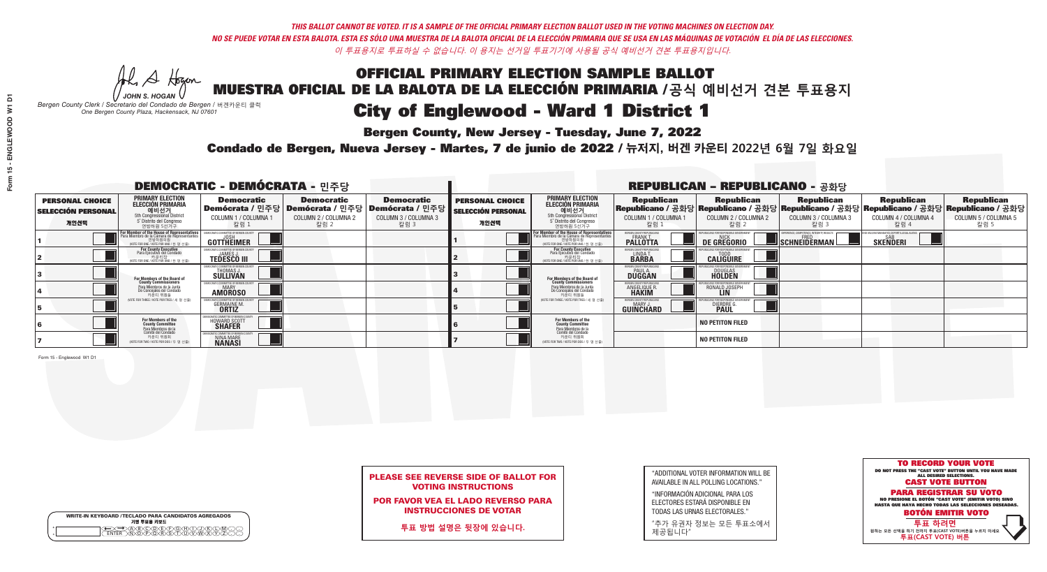**Bergen County, New Jersey - Tuesday, June 7, 2022** 

Al Stogan *JOHN S. HOGAN*

|                    | <b>WRITE-IN KEYBOARD /TECLADO PARA CANDIDATOS AGREGADOS</b><br>기명 투표용 키보드 |  |
|--------------------|---------------------------------------------------------------------------|--|
| $\circ$<br>$\circ$ | YEYEYAYAY<br>$\delta \infty$                                              |  |

*Bergen County Clerk / Secretario del Condado de Bergen /* 버겐카운티 클럭 *One Bergen County Plaza, Hackensack, NJ 07601*



POR FAVOR VEA EL LADO REVERSO PARA INSTRUCCIONES DE VOTAR

**투표 방법 설명은 뒷장에 있습니다.**

| "ADDITIONAL VOTER INFORMATION WILL BE |
|---------------------------------------|
| AVAILABLE IN ALL POLLING LOCATIONS."  |
|                                       |

"INFORMACIÓN ADICIONAL PARA LOS ELECTORES ESTARÁ DISPONIBLE EN TODAS LAS URNAS ELECTORALES."

"추가 유권자 정보는 모든 투표소에서 제공됩니다"

Condado de Bergen, Nueva Jersey - Martes, 7 de junio de 2022 / 뉴저지, 버겐 카운티 2022년 6월 7일 화요일 *One Bergen County Plaza, Hackensack, NJ 07601*

| <b>DEMOCRATIC - DEMÓCRATA - 민주당</b>                         |                                                                                                                             |                                                             |                                                   |                                                                                                              | <b>REPUBLICAN - REPUBLICANO - 공화당</b>                       |                                                                                                                                                      |                                                             |                                                    |                                                                                                                                                |                                                   |                                                   |  |
|-------------------------------------------------------------|-----------------------------------------------------------------------------------------------------------------------------|-------------------------------------------------------------|---------------------------------------------------|--------------------------------------------------------------------------------------------------------------|-------------------------------------------------------------|------------------------------------------------------------------------------------------------------------------------------------------------------|-------------------------------------------------------------|----------------------------------------------------|------------------------------------------------------------------------------------------------------------------------------------------------|---------------------------------------------------|---------------------------------------------------|--|
| <b>PERSONAL CHOICE</b><br><b>SELECCIÓN PERSONAL</b><br>개인선택 | PRIMARY ELECTION<br><b>ELECCIÓN PRIMARIA</b><br>해비선거<br>Sth Congressional District<br>5° Distrito del Congreso<br>연방하원 5선거구 | <b>Democratic</b><br>COLUMN 1 / COLUMNA 1<br>칼럼 1           | <b>Democratic</b><br>COLUMN 2 / COLUMNA 2<br>칼럼 2 | <b>Democratic</b><br>  Demócrata / 민주당   Demócrata / 민주당   Demócrata / 민주당  <br>COLUMN 3 / COLUMNA 3<br>칼럼 3 | <b>PERSONAL CHOICE</b><br><b>SELECCIÓN PERSONAL</b><br>개인선택 | <b>PRIMARY ELECTION</b><br><b>ELECCIÓN PRIMARIA</b><br>예비선거<br>5th Congressional District<br>5 Distrito del Congreso<br>연방하원 5선거구                    | <b>Republican</b><br>COLUMN 1 / COLUMNA 1<br>칼럼 :           | <b>Republican</b><br>COLUMN 2 / COLUMNA 2<br>,칼럼 2 | <b>Republican</b><br>Republicano / 공화당 Republicano / 공화당 Republicano / 공화당 Republicano / 공화당 Republicano / 공화당<br>COLUMN 3 / COLUMNA 3<br>칼럼 3 | <b>Republican</b><br>COLUMN 4 / COLUMNA 4<br>칼럼 4 | <b>Republican</b><br>COLUMN 5 / COLUMNA 5<br>칼럼 5 |  |
|                                                             | For Member of the House of Representatives<br>Para Miembro de la Cámara de Representantes                                   | <b>GOTTHEIMER</b>                                           |                                                   |                                                                                                              |                                                             | <b>For Member of the House of Representatives</b><br>Para Miembro de la Cámara de Representantes<br>연방하원의원<br>(VOTE FOR ONE / VOTE POR UNO / 한 명 선출) | ERGEN COUNTY REPUBLICAL<br><b>PALLOTTA</b>                  | DE GREGORIO                                        | SCHNEIDERMAN                                                                                                                                   | <b>SKENDERI</b>                                   |                                                   |  |
|                                                             | For County Executive<br>Para Ejecutivo del Condado<br>WOTE FOR ONE / VOTE POR UNO / 한 명 선출)                                 | <b>TEDESCO III</b>                                          |                                                   |                                                                                                              |                                                             | <b>For County Executive</b><br>Para Ejecutivo del Condado                                                                                            | BERGEN COUNTY REPUBLICAN<br>LINDAT.                         | <b>CALIGUIRE</b>                                   |                                                                                                                                                |                                                   |                                                   |  |
|                                                             | <b>For Members of the Board of<br/>County Commissioners</b>                                                                 | THOMAS J.                                                   |                                                   |                                                                                                              |                                                             | For Members of the Board of<br>County Commissioners                                                                                                  | BERGEN COUNTY REPUBLICAN<br><b>PAUL A.</b><br><b>DUGGAN</b> | <b>DOUGLAS</b><br><b>HOLDEN</b>                    |                                                                                                                                                |                                                   |                                                   |  |
|                                                             | Para Miembros de la Junta<br>De Concejales del Condado<br>카운티 위원들                                                           | <b>MOCRATIC COMMITTEE OF BERGEN COUNT</b><br><b>AMOROSO</b> |                                                   |                                                                                                              |                                                             | Para Miembros de la Junta<br>De Concejales del Condado<br>카운티 위원들                                                                                    | ERGEN COUNTY REPUBLICAN<br>ANGELIQUE R.<br><b>HAKIM</b>     | RONALD JOSEPH                                      |                                                                                                                                                |                                                   |                                                   |  |
|                                                             | NOTE FOR THREE / VOTE POR TRES / 세 명 선출)                                                                                    | <b>GERMAINE M.</b>                                          |                                                   |                                                                                                              |                                                             | NOTE FOR THREE / VOTE POR TRES / 세 명 선출                                                                                                              | BERGEN COUNTY REPUBLICANS<br>MARY J<br>GUINCHARD            | <b>DIERDRE</b>                                     |                                                                                                                                                |                                                   |                                                   |  |
|                                                             | For Members of the<br>County Committee<br>Para Miembros de la<br>Comité del Condado                                         | <b>HOWARD SCOTT</b>                                         |                                                   |                                                                                                              |                                                             | <b>For Members of the<br/>County Committee</b><br>Para Miembros de la<br>Comité del Condado<br>카운티 위원회                                               |                                                             | <b>NO PETITON FILED</b>                            |                                                                                                                                                |                                                   |                                                   |  |
|                                                             | 카운티 위원회<br>NOTE FOR TWO / VOTE POR DOS / 두 명 선출)                                                                            | NINA MARE<br><b>NANASI</b>                                  |                                                   |                                                                                                              |                                                             | NOTE FOR TWO / VOTE POR DOS / 두 명 선출)                                                                                                                |                                                             | <b>NO PETITON FILED</b>                            |                                                                                                                                                |                                                   |                                                   |  |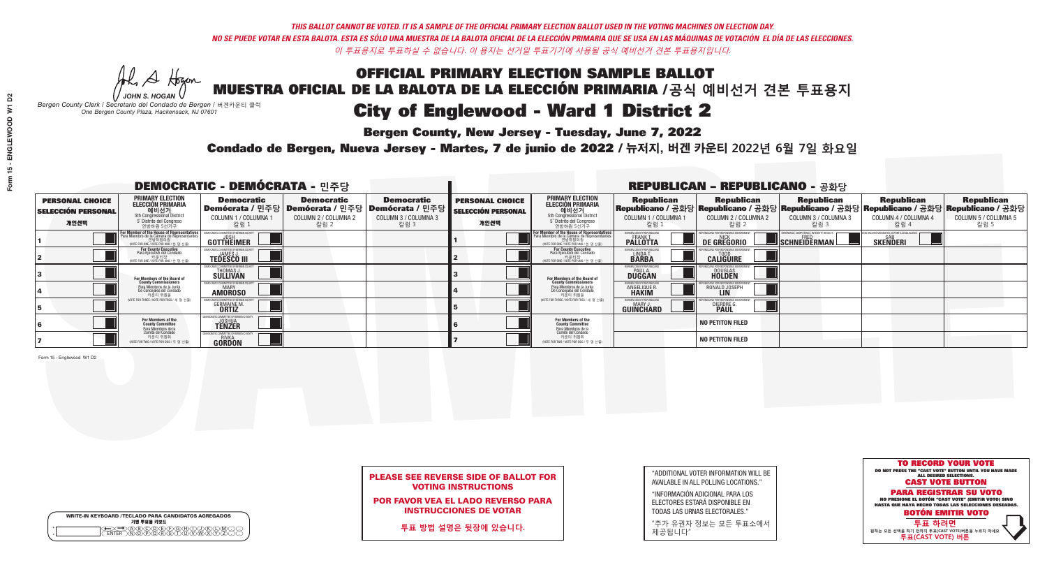**Bergen County, New Jersey - Tuesday, June 7, 2022** 

Al Stogan *JOHN S. HOGAN*

|              | <b>WRITE-IN KEYBOARD /TECLADO PARA CANDIDATOS AGREGADOS</b><br>기명 투표용 키보드 |  |
|--------------|---------------------------------------------------------------------------|--|
| ٥<br>$\circ$ | $\sqrt{D}\sqrt{C}$                                                        |  |

*Bergen County Clerk / Secretario del Condado de Bergen /* 버겐카운티 클럭 *One Bergen County Plaza, Hackensack, NJ 07601*



PLEASE SEE REVERSE SIDE OF BALLOT FOR VOTING INSTRUCTIONS

POR FAVOR VEA EL LADO REVERSO PARA INSTRUCCIONES DE VOTAR

**투표 방법 설명은 뒷장에 있습니다.**

| "ADDITIONAL VOTER INFORMATION WILL BE |
|---------------------------------------|
| AVAILABLE IN ALL POLLING LOCATIONS."  |
|                                       |

"INFORMACIÓN ADICIONAL PARA LOS ELECTORES ESTARÁ DISPONIBLE EN TODAS LAS URNAS ELECTORALES."

"추가 유권자 정보는 모든 투표소에서 제공됩니다"

Condado de Bergen, Nueva Jersey - Martes, 7 de junio de 2022 / 뉴저지, 버겐 카운티 2022년 6월 7일 화요일 *One Bergen County Plaza, Hackensack, NJ 07601*

| <b>DEMOCRATIC - DEMÓCRATA - 민주당</b>                         |                                                                                                                                        |                                                                        |                                                   |                                                                                                             | <b>REPUBLICAN - REPUBLICANO - 공화당</b>                       |                                                                                                                                                |                                                             |                                                    |                                                   |                                                   |                                                                                                                                                  |  |
|-------------------------------------------------------------|----------------------------------------------------------------------------------------------------------------------------------------|------------------------------------------------------------------------|---------------------------------------------------|-------------------------------------------------------------------------------------------------------------|-------------------------------------------------------------|------------------------------------------------------------------------------------------------------------------------------------------------|-------------------------------------------------------------|----------------------------------------------------|---------------------------------------------------|---------------------------------------------------|--------------------------------------------------------------------------------------------------------------------------------------------------|--|
| <b>PERSONAL CHOICE</b><br><b>SELECCIÓN PERSONAL</b><br>개인선택 | <b>PRIMARY ELECTION</b><br><b>ELECCIÓN PRIMARIA</b><br>5th Congressional District<br>5 <sup>o</sup> Distrito del Congreso<br>연방하원 5선거구 | <b>Democratic</b><br>COLUMN 1 / COLUMNA 1<br>칼럼 1                      | <b>Democratic</b><br>COLUMN 2 / COLUMNA 2<br>칼럼 2 | <b>Democratic</b><br>  Demócrata / 민주당   Demócrata / 민주당   Demócrata / 민주당 <br>COLUMN 3 / COLUMNA 3<br>칼럼 3 | <b>PERSONAL CHOICE</b><br><b>SELECCIÓN PERSONAL</b><br>개인선택 | <b>PRIMARY ELECTION</b><br>ELECCIÓN PRIMARIA<br>에비선거<br>5th Congressional District<br>5 Distrito del Congreso<br>연방하원 5선거구                     | <b>Republican</b><br>COLUMN 1 / COLUMNA 1<br>, 칼럼 :         | <b>Republican</b><br>COLUMN 2 / COLUMNA 2<br>-칼럼 2 | <b>Republican</b><br>COLUMN 3 / COLUMNA 3<br>칼럼 3 | <b>Republican</b><br>COLUMN 4 / COLUMNA 4<br>칼럼 4 | <b>Republican</b><br> Republicano / 공화당 Republicano / 공화당 Republicano / 공화당 Republicano / 공화당 Republicano / 공화당 <br>COLUMN 5 / COLUMNA 5<br>칼럼 5 |  |
|                                                             | or Member of the House of Representatives<br>ara Miembro de la Cámara de Representantes<br>WOTE FOR ONE / VOTE POR UNO / 한 명 선출)       | <b>GOTTHEIMER</b>                                                      |                                                   |                                                                                                             |                                                             | F <mark>or Member of the House of Representative</mark><br>Para Miembro de la Cámara de Representante:<br>NOTE FOR ONE / VOTE POR UNO / 한 명 선출 | BERGEN COUNTY REPUBLICANS<br>FRANK T.<br><b>PALLOTTA</b>    | DE GREGORIO                                        | SCHNEIDERMAN                                      | <b>SKENDERI</b>                                   |                                                                                                                                                  |  |
|                                                             | For County Executive<br>Para Ejecutivo del Condado<br>가운티장<br>(VOTE FOR ONE / VOTE POR UNO / 한 명 선출)                                   | <b>TEDESCO III</b>                                                     |                                                   |                                                                                                             |                                                             | For County Executive<br>Para Ejecutivo del Condado<br>7) 카운티장<br>(VOTE FOR ONE / VOTE POR UNO / 한 명 선출)                                        | BERGEN COUNTY REPUBLICAN<br>LINDA T.                        | <b>CALIGUIRE</b>                                   |                                                   |                                                   |                                                                                                                                                  |  |
|                                                             | For Members of the Board of<br>County Commissioners                                                                                    | VIOCRATIC COMMITTEE OF BERGEN (<br><b>THOMAS J.</b><br><b>SULLIVAN</b> |                                                   |                                                                                                             |                                                             | For Members of the Board of<br>County Commissioners                                                                                            | BERGEN COUNTY REPUBLICAN<br><b>PAUL A.</b><br><b>DUGGAN</b> | <b>DOUGLAS</b>                                     |                                                   |                                                   |                                                                                                                                                  |  |
|                                                             | Para Miembros de la Junta<br>De Concejales del Condado<br>카운티 위원들                                                                      | IOCRATIC COMMITTEE OF BERGEN COUNT<br><b>MARY</b><br><b>AMOROSO</b>    |                                                   |                                                                                                             |                                                             | Para Miembros de la Junta<br>De Concejales del Condado<br>카운티 위원들                                                                              | BERGEN COUNTY REPUBLICAN<br><b>ANGELIQUE R</b>              | RONALD JOSEPH<br><b>LIN</b>                        |                                                   |                                                   |                                                                                                                                                  |  |
|                                                             | NOTE FOR THREE / VOTE POR TRES / 세 명 선출)                                                                                               | <b>GERMAINE M.</b>                                                     |                                                   |                                                                                                             |                                                             | (VOTE FOR THREE / VOTE POR TRES / 세 명 선출)                                                                                                      | BERGEN COUNTY REPUBLICAN<br>MARY J.<br>GUINCHARD            | <b>DIERDRE</b>                                     |                                                   |                                                   |                                                                                                                                                  |  |
|                                                             | For Members of the<br>County Committee<br>Para Miembros de la<br>Comité del Condado                                                    | <b>OCRATIC COMMITTEE OF BERGEN C</b><br><b>JOSHUA</b>                  |                                                   |                                                                                                             |                                                             | For Members of the<br>County Committee<br>Para Miembros de la<br>Comité del Condado                                                            |                                                             | <b>NO PETITON FILED</b>                            |                                                   |                                                   |                                                                                                                                                  |  |
|                                                             | 카운티 위원회<br>(VOTE FOR TWO / VOTE POR DOS / 두 명 선출)                                                                                      | CRATIC COMMITTEE OF BERGEN<br><b>GORDON</b>                            |                                                   |                                                                                                             |                                                             | 카운티 위원회<br>NOTE FOR TWO / VOTE POR DOS / 두 명 선출)                                                                                               |                                                             | <b>NO PETITON FILED</b>                            |                                                   |                                                   |                                                                                                                                                  |  |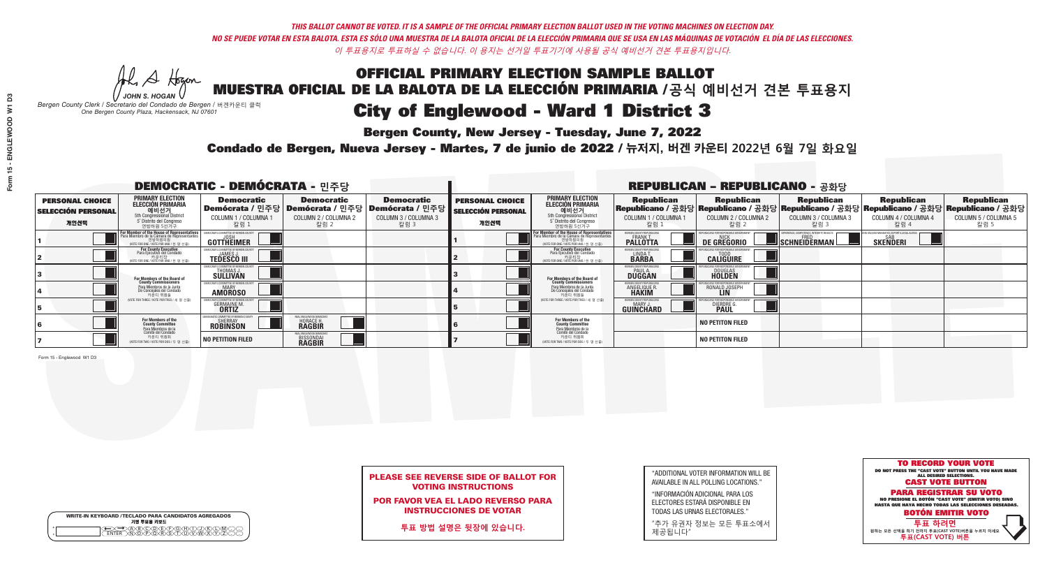**Bergen County, New Jersey - Tuesday, June 7, 2022** 

Al Stogan *JOHN S. HOGAN*

|              | <b>WRITE-IN KEYBOARD /TECLADO PARA CANDIDATOS AGREGADOS</b><br>기명 투표용 키보드 |  |
|--------------|---------------------------------------------------------------------------|--|
| ٥<br>$\circ$ | $\sqrt{D}\sqrt{C}$                                                        |  |

*Bergen County Clerk / Secretario del Condado de Bergen /* 버겐카운티 클럭 *One Bergen County Plaza, Hackensack, NJ 07601*

Condado de Bergen, Nueva Jersey - Martes, 7 de junio de 2022 / 뉴저지, 버겐 카운티 2022년 6월 7일 화요일 *One Bergen County Plaza, Hackensack, NJ 07601*



### PLEASE SEE REVERSE SIDE OF BALLOT FOR VOTING INSTRUCTIONS

POR FAVOR VEA EL LADO REVERSO PARA INSTRUCCIONES DE VOTAR

**투표 방법 설명은 뒷장에 있습니다.**

| "ADDITIONAL VOTER INFORMATION WILL BE |
|---------------------------------------|
| AVAILABLE IN ALL POLLING LOCATIONS."  |

"INFORMACIÓN ADICIONAL PARA LOS ELECTORES ESTARÁ DISPONIBLE EN TODAS LAS URNAS ELECTORALES."

"추가 유권자 정보는 모든 투표소에서 제공됩니다"

| <b>DEMOCRATIC - DEMÓCRATA - 민주당</b>                         |                                                                                                                                           |                                                                     |                                                          |                                                                                                        | <b>REPUBLICAN - REPUBLICANO - 공화당</b>                       |                                                                                                                                               |                                                                     |                                                   |                                                                                                                                                |                                                   |                                                   |  |
|-------------------------------------------------------------|-------------------------------------------------------------------------------------------------------------------------------------------|---------------------------------------------------------------------|----------------------------------------------------------|--------------------------------------------------------------------------------------------------------|-------------------------------------------------------------|-----------------------------------------------------------------------------------------------------------------------------------------------|---------------------------------------------------------------------|---------------------------------------------------|------------------------------------------------------------------------------------------------------------------------------------------------|---------------------------------------------------|---------------------------------------------------|--|
| <b>PERSONAL CHOICE</b><br><b>SELECCIÓN PERSONAL</b><br>개인선택 | <b>PRIMARY ELECTION</b><br>ELECCIÓN PRIMARIA<br>에비선거<br>5th Congressional District<br>5 <sup>*</sup> Distrito del Congreso<br>연방하원 5선거구   | <b>Democratic</b><br>COLUMN 1 / COLUMNA 1<br>칼럼 1                   | <b>Democratic</b><br>COLUMN 2 / COLUMNA 2<br>칼럼 2        | <b>Democratic</b><br>│Demócrata / 민주당│Demócrata / 민주당│Demócrata / 민주당┃<br>COLUMN 3 / COLUMNA 3<br>칼럼 3 | <b>PERSONAL CHOICE</b><br><b>SELECCIÓN PERSONAL</b><br>개인선택 | <b>PRIMARY ELECTION</b><br><b>ELECCIÓN PRIMARIA</b><br><b>GHI LA 거</b><br>Sth Congressional District<br>5° Distrito del Congreso<br>연방하원 5선거구 | <b>Republican</b><br>COLUMN 1 / COLUMNA 1<br>칼럼 1                   | <b>Republican</b><br>COLUMN 2 / COLUMNA 2<br>칼럼 2 | <b>Republican</b><br>Republicano / 공화당 Republicano / 공화당 Republicano / 공화당 Republicano / 공화당 Republicano / 공화당<br>COLUMN 3 / COLUMNA 3<br>칼럼 3 | <b>Republican</b><br>COLUMN 4 / COLUMNA 4<br>칼럼 4 | <b>Republican</b><br>COLUMN 5 / COLUMNA 5<br>칼럼 5 |  |
|                                                             | or Member of the House of Representatives<br>ara Miembro de la Cámara de Representantes<br>연방하원의원<br>(VOTE FOR ONE / VOTE POR UNO / 한명선출) | <b>GOTTHEIMER</b>                                                   |                                                          |                                                                                                        |                                                             | For Member of the House of Representatives<br>Para Miembro de la Cámara de Representantes<br>연방하원의원<br>(VOTE FOR ONE / VOTE POR UNO / 한 명 선출) | ERGEN COUNTY REPUBLICAN<br><b>PALLOTTA</b>                          | DE GREGORIO                                       | SCHNEIDERMAN                                                                                                                                   | <b>SKENDERI</b>                                   |                                                   |  |
|                                                             | <b>For County Executive</b><br>Para Ejecutivo del Condado<br>(VOTE FOR ONE / VOTE POR UNO / 한 명 선출)                                       | <b>TEDESCO III</b>                                                  |                                                          |                                                                                                        |                                                             | For County Executive<br>Para Ejecutivo del Condado<br>카운티장<br>"자운티장 <sub>서즈"</sub><br>"예TE FOR ONE / VOTE POR UNO / 한 명 서즈"                   | BERGEN COUNTY REPUBLICAN<br>LINDA T.                                | <b>CALIGUIRE</b>                                  |                                                                                                                                                |                                                   |                                                   |  |
|                                                             | <b>For Members of the Board of<br/>County Commissioners</b>                                                                               | <i><b>MOCRATIC COMMITTEE OF BERGEN COUNT</b></i><br>THOMAS J.       |                                                          |                                                                                                        |                                                             | For Members of the Board of<br>County Commissioners                                                                                           | BERGEN COUNTY REPUBLICAN<br><b>PAUL A.</b><br><b>DUGGAN</b>         | <b>DOUGLAS</b><br><b>HOLDEN</b>                   |                                                                                                                                                |                                                   |                                                   |  |
|                                                             | Para Miembros de la Junta<br>De Conceiales del Condado<br>카운티 위원들                                                                         | IOCRATIC COMMITTEE OF BEBGEN CI<br><b>AMOROSO</b>                   |                                                          |                                                                                                        |                                                             | Para Miembros de la Junta<br>De Concejales del Condado<br>카운티 위원들                                                                             | <b>RGEN COUNTY REPUBLICAN</b><br><b>ANGELIQUE R</b><br><b>HAKIM</b> | RONALD JOSEPH                                     |                                                                                                                                                |                                                   |                                                   |  |
|                                                             | NOTE FOR THREE / VOTE POR TRES / 세 명 선출                                                                                                   | <b>GERMAINE M.</b>                                                  |                                                          |                                                                                                        |                                                             | NOTE FOR THREE / VOTE POR TRES / 세 명 선출                                                                                                       | ERGEN COUNTY REPUBLICAN:<br><b>GUINCHARD</b>                        | DIERDRE <sup>C</sup>                              |                                                                                                                                                |                                                   |                                                   |  |
|                                                             | For Members of the<br>County Committee<br>Para Miembros de la<br>Comité del Condado                                                       | IOCRATIC COMMITTEE OF BERGEN (<br><b>SHERRAY</b><br><b>ROBINSON</b> | AL ENGLEWOOD DEMOCI<br><b>HORACE H.</b><br><b>RAGBIR</b> |                                                                                                        |                                                             | For Members of the<br>County Committee                                                                                                        |                                                                     | <b>NO PETITON FILED</b>                           |                                                                                                                                                |                                                   |                                                   |  |
|                                                             | 카운티 위원회<br>NOTE FOR TWO / VOTE POR DOS / 두 명 선출)                                                                                          | <b>NO PETITION FILED</b>                                            | AL ENGLEWOOD DEMOC<br><b>BISSONDAI</b>                   |                                                                                                        |                                                             | Para Miembros de la<br>Comité del Condado<br>카운티 위원회<br>NOTE FOR TWO / VOTE POR DOS / 두 명 선출)                                                 |                                                                     | <b>NO PETITON FILED</b>                           |                                                                                                                                                |                                                   |                                                   |  |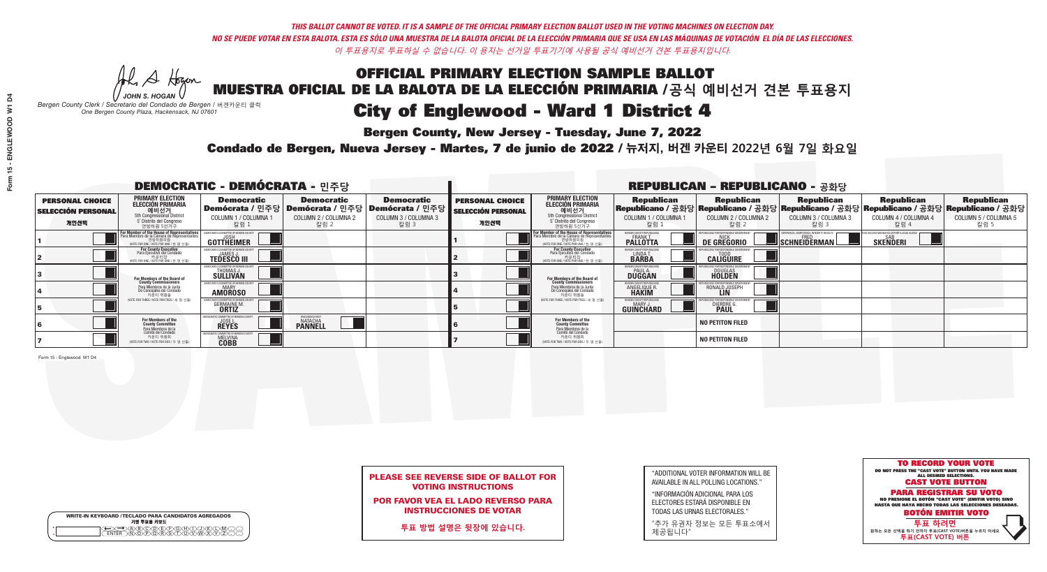**Bergen County, New Jersey - Tuesday, June 7, 2022** 

Al Stogan *JOHN S. HOGAN*

|                    | <b>WRITE-IN KEYBOARD /TECLADO PARA CANDIDATOS AGREGADOS</b><br>기명 투표용 키보드 |
|--------------------|---------------------------------------------------------------------------|
| $\circ$<br>$\circ$ |                                                                           |

*Bergen County Clerk / Secretario del Condado de Bergen /* 버겐카운티 클럭 *One Bergen County Plaza, Hackensack, NJ 07601*

Condado de Bergen, Nueva Jersey - Martes, 7 de junio de 2022 / 뉴저지, 버겐 카운티 2022년 6월 7일 화요일 *One Bergen County Plaza, Hackensack, NJ 07601*



PLEASE SEE REVERSE SIDE OF BALLOT FOR VOTING INSTRUCTIONS

POR FAVOR VEA EL LADO REVERSO PARA INSTRUCCIONES DE VOTAR

**투표 방법 설명은 뒷장에 있습니다.**

| "ADDITIONAL VOTER INFORMATION WILL BE |
|---------------------------------------|
| AVAILABLE IN ALL POLLING LOCATIONS."  |
|                                       |

"INFORMACIÓN ADICIONAL PARA LOS ELECTORES ESTARÁ DISPONIBLE EN TODAS LAS URNAS ELECTORALES."

"추가 유권자 정보는 모든 투표소에서 제공됩니다"

| <b>DEMOCRATIC - DEMÓCRATA - 민주당</b>                         |                                                                                                                                               |                                                                      |                                                                                                              |                                                   | <b>REPUBLICAN - REPUBLICANO - 공화당</b>                       |                                                                                                                                   |                                                                      |                                                    |                                                                                                                                                 |                                                   |                                                   |
|-------------------------------------------------------------|-----------------------------------------------------------------------------------------------------------------------------------------------|----------------------------------------------------------------------|--------------------------------------------------------------------------------------------------------------|---------------------------------------------------|-------------------------------------------------------------|-----------------------------------------------------------------------------------------------------------------------------------|----------------------------------------------------------------------|----------------------------------------------------|-------------------------------------------------------------------------------------------------------------------------------------------------|---------------------------------------------------|---------------------------------------------------|
| <b>PERSONAL CHOICE</b><br><b>SELECCIÓN PERSONAL</b><br>개인선택 | <b>PRIMARY ELECTION</b><br><b>ELECCIÓN PRIMARIA</b><br>예비선거<br><sup>5th</sup> Congressional District<br>5° Distrito del Congreso<br>연방하원 5선거구 | <b>Democratic</b><br>COLUMN 1 / COLUMNA<br>칼럼 1                      | <b>Democratic</b><br>  Demócrata / 민주당   Demócrata / 민주당   Demócrata / 민주당  <br>COLUMN 2 / COLUMNA 2<br>칼럼 2 | <b>Democratic</b><br>COLUMN 3 / COLUMNA 3<br>칼럼 3 | <b>PERSONAL CHOICE</b><br><b>SELECCIÓN PERSONAL</b><br>개인선택 | <b>PRIMARY ELECTION</b><br>ELECCIÓN PRIMARIA<br>예비선거<br>5th Congressional District<br>5 Distrito del Congreso<br>연방하원 5선거구        | <b>Republican</b><br>COLUMN 1 / COLUMNA 1<br><u>칼럼 1</u>             | <b>Republican</b><br>COLUMN 2 / COLUMNA 2<br>-칼럼 2 | <b>Republican</b><br> Republicano / 공화당 Republicano / 공화당 Republicano / 공화당 Republicano / 공화당 Republicano / 공화당<br>COLUMN 3 / COLUMNA 3<br>칼럼 3 | <b>Republican</b><br>COLUMN 4 / COLUMNA 4<br>칼럼 4 | <b>Republican</b><br>COLUMN 5 / COLUMNA 5<br>칼럼 5 |
|                                                             | F <b>or Member of the House of Representatives</b><br>Para Miembro de la Cámara de Representantes                                             | COMMITTEE OF BERGEN COUNT<br><b>GOTTHEIMER</b>                       |                                                                                                              |                                                   |                                                             | For Member of the House of Representatives<br>Para Miembro de la Cámara de Representantes<br>WOTE FOR ONE / VOTE POR UNO / 한 명 선출 | BERGEN COUNTY REPUBLICANS<br><b>PALLOTTA</b>                         | DE GREGORIO                                        | PERIENCE, COMPETENCE, INTEGRITY, RESULT<br>SCHNEIDERMAN                                                                                         | <b>SKENDERI</b>                                   |                                                   |
|                                                             | For County Executive<br>Para Ejecutivo del Condado<br>'OTE FOR ONE / VOTE POR UNO / 한 명 선출)                                                   | <b>TEDESCO III</b>                                                   |                                                                                                              |                                                   |                                                             | For County Executive<br>Para Ejecutivo del Condado<br>가운티장<br>(VOTE FOR ONE / VOTE POR UNO / 한 명 선출                               | BERGEN COUNTY REPUBLICAN<br>LINDA T.                                 | <b>CALIGUIRE</b>                                   |                                                                                                                                                 |                                                   |                                                   |
|                                                             | <b>For Members of the Board of<br/>County Commissioners</b>                                                                                   | THOMAS J.                                                            |                                                                                                              |                                                   |                                                             | For Members of the Board of<br>County Commissioners                                                                               | BERGEN COUNTY REPUBLICAN<br><b>DUGGAN</b>                            | <b>DOUGLAS</b><br><b>HOLDEN</b>                    |                                                                                                                                                 |                                                   |                                                   |
|                                                             | Para Miembros de la Junta<br>De Concejales del Condado<br>카운티 위원들                                                                             | OCRATIC COMMITTEE OF BERGEN COUNT<br><b>AMOROSO</b>                  |                                                                                                              |                                                   |                                                             | Para Miembros de la Junta<br>De Concejales del Condado<br>카운티 위원들                                                                 | <b>FRGEN COUNTY REPUBLICAN</b><br><b>ANGELIQUE R</b><br><b>HAKIM</b> | RONALD JOSEPH                                      |                                                                                                                                                 |                                                   |                                                   |
|                                                             | NOTE FOR THREE / VOTE POR TRES / 세 명 선출)                                                                                                      | <b>GERMAINE M.</b>                                                   |                                                                                                              |                                                   |                                                             | (VOTE FOR THREE / VOTE POR TRES / 세 명 선출)                                                                                         | BERGEN COUNTY REPUBLICAN<br>MARY J<br>GUINCHARD                      | <b>DIERDRE</b>                                     |                                                                                                                                                 |                                                   |                                                   |
|                                                             | For Members of the<br>County Committee<br>Para Miembros de la                                                                                 | <b>OCRATIC COMMITTEE OF BERGEN</b><br><b>JOSE L.</b><br><b>REYES</b> | ENGLEWOOD FIRS<br><b>PANNELL</b>                                                                             |                                                   |                                                             | For Members of the<br>County Committee                                                                                            |                                                                      | <b>NO PETITON FILED</b>                            |                                                                                                                                                 |                                                   |                                                   |
|                                                             | Comité del Condado<br>카운티 위원회<br>(VOTE FOR TWO / VOTE POR DOS / 두 명 선출)                                                                       | TIC COMMITTEE OF BERGE<br><b>MELVINA</b><br><b>COBB</b>              |                                                                                                              |                                                   |                                                             | Para Miembros de la<br>Comité del Condado<br>카운티 위원회<br>NOTE FOR TWO / VOTE POR DOS / 두 명 선출)                                     |                                                                      | <b>NO PETITON FILED</b>                            |                                                                                                                                                 |                                                   |                                                   |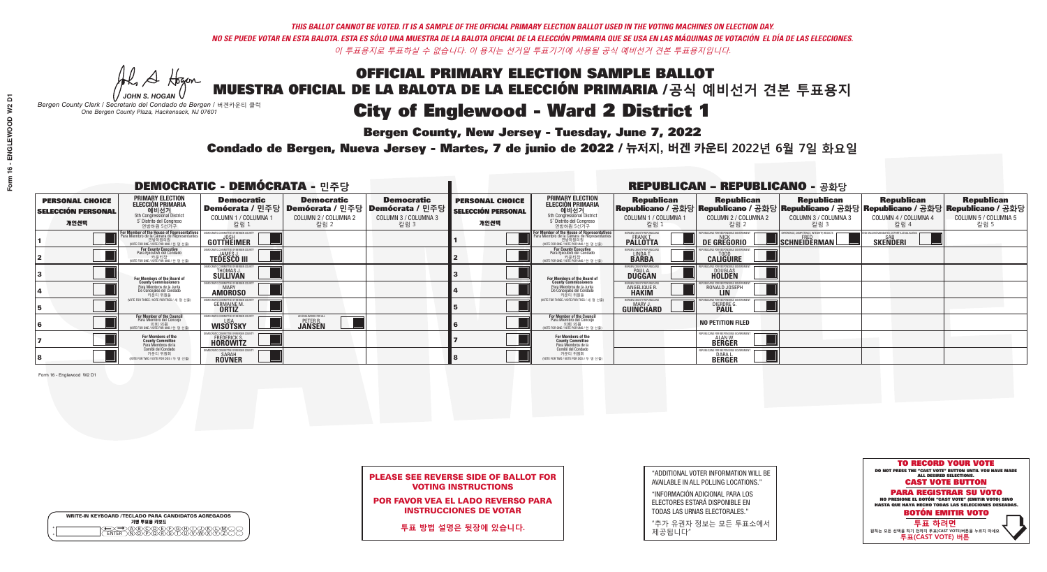**Bergen County, New Jersey - Tuesday, June 7, 2022** 

A Hogan *JOHN S. HOGAN*

|   | <b>WRITE-IN KEYBOARD /TECLADO PARA CANDIDATOS AGREGADOS</b><br>기명 투표용 키보드 |
|---|---------------------------------------------------------------------------|
| o | ABCDDECRAT                                                                |
| o | <u>አቅለጅጅ</u> ጅት                                                           |

*Bergen County Clerk / Secretario del Condado de Bergen /* 버겐카운티 클럭 *One Bergen County Plaza, Hackensack, NJ 07601*



PLEASE SEE REVERSE SIDE OF BALLOT FOR VOTING INSTRUCTIONS

POR FAVOR VEA EL LADO REVERSO PARA INSTRUCCIONES DE VOTAR

**투표 방법 설명은 뒷장에 있습니다.**

"ADDITIONAL VOTER INFORMATION WILL BE AVAILABLE IN ALL POLLING LOCATIONS."

"INFORMACIÓN ADICIONAL PARA LOS ELECTORES ESTARÁ DISPONIBLE EN TODAS LAS URNAS ELECTORALES."

"추가 유권자 정보는 모든 투표소에서 제공됩니다"

Condado de Bergen, Nueva Jersey - Martes, 7 de junio de 2022 / 뉴저지, 버겐 카운티 2022년 6월 7일 화요일 *One Bergen County Plaza, Hackensack, NJ 07601*

|                                                             |                                                                                                                                             |                                                                             |                                                                                                        | <b>REPUBLICAN - REPUBLICANO - 공화당</b>             |                                                             |                                                                                                                                                       |                                                                     |                                                                                                                                                |                                                           |                                                                |                                                   |
|-------------------------------------------------------------|---------------------------------------------------------------------------------------------------------------------------------------------|-----------------------------------------------------------------------------|--------------------------------------------------------------------------------------------------------|---------------------------------------------------|-------------------------------------------------------------|-------------------------------------------------------------------------------------------------------------------------------------------------------|---------------------------------------------------------------------|------------------------------------------------------------------------------------------------------------------------------------------------|-----------------------------------------------------------|----------------------------------------------------------------|---------------------------------------------------|
| <b>PERSONAL CHOICE</b><br><b>SELECCIÓN PERSONAL</b><br>개인선택 | <b>PRIMARY ELECTION</b><br>ELECCIÓN PRIMARIA<br>예비선거<br>5th Congressional District<br>5° Distrito del Congreso<br>연방하원 5선거구                 | <b>Democratic</b><br>COLUMN 1 / COLUMNA 1<br>칼럼 :                           | <b>Democratic</b><br>│Demócrata / 민주당│Demócrata / 민주당│Demócrata / 민주당┃<br>COLUMN 2 / COLUMNA 2<br>칼럼 2 | <b>Democratic</b><br>COLUMN 3 / COLUMNA 3<br>칼럼 3 | <b>PERSONAL CHOICE</b><br><b>SELECCIÓN PERSONAL</b><br>개인선택 | <b>PRIMARY ELECTION</b><br>ELECCIÓN PRIMARIA<br>예비선거<br>5th Congressional District<br>5° Distrito del Congreso<br>연방하원 5선거구                           | <b>Republican</b><br>COLUMN 1 / COLUMNA 1<br>칼럼                     | <b>Republican</b><br>Republicano / 공화당 Republicano / 공화당 Republicano / 공화당 Republicano / 공화당 Republicano / 공화당<br>COLUMN 2 / COLUMNA 2<br>칼럼 2 | <b>Republican</b><br>COLUMN 3 / COLUMNA 3<br>칼럼 3         | <b>Republican</b><br>COLUMN 4 / COLUMNA 4<br>칼럼 4              | <b>Republican</b><br>COLUMN 5 / COLUMNA 5<br>칼럼 5 |
|                                                             | or Member of the House of Representatives<br>ara Miembro de la Cámara de Representantes<br>연방하원의원<br>(VOTE FOR ONE / VOTE POR UNO / 한 명 선출) | GOTTHEIMER                                                                  |                                                                                                        |                                                   |                                                             | <b>For Member of the House of Representatives<br/>Para Miembro de la Cámara de Representantes</b><br>연방하원의원<br>(VOTE FOR ONE / VOTE POR UNO / 한 명 선출) | ERGEN COUNTY REPUBLICAN<br><b>PALLOTTA</b>                          | DE GREGORIO                                                                                                                                    | (PERIENCE, COMPETENCE, INTEGRITY, RESULTS<br>SCHNEIDERMAN | END VACCINE MANDATES, DEPORT ILLEGAL AUENS.<br>SAB<br>SKENDERI |                                                   |
|                                                             | For County Executive<br>Para Ejecutivo del Condado<br>가운티장<br>(VOTE FOR ONE / VOTE POR UNO / 한 명 선출)                                        | <b>TEDESCO III</b>                                                          |                                                                                                        |                                                   |                                                             | For County Executive<br>Para Ejecutivo del Condado<br>7) 카운티장<br>(VOTE FOR ONE / VOTE POR UNO / 한 명 선출)                                               | BERGEN COUNTY REPUBLICAL<br>LINDA T.                                | <b>CALIGUIRE</b>                                                                                                                               |                                                           |                                                                |                                                   |
|                                                             | For Members of the Board of<br>County Commissioners                                                                                         | MOCRATIC COMMITTEE OF BERGEN<br>THOMAS J.                                   |                                                                                                        |                                                   |                                                             | For Members of the Board of<br>County Commissioners                                                                                                   | BERGEN COUNTY REPUBLICAL<br><b>PAUL A.</b><br><b>DUGGAN</b>         | <b>DOUGLAS</b>                                                                                                                                 |                                                           |                                                                |                                                   |
|                                                             | Para Miembros de la Junta<br>De Concejales del Condado<br>카운티 위원들                                                                           | <b>IMOCRATIC COMMITTEE OF BERGEN COUNT</b><br><b>MARY</b><br><b>AMOROSO</b> |                                                                                                        |                                                   |                                                             | Para Miembros de la Junta<br>De Concejales del Condado<br>카운티 위원들                                                                                     | <b>RGEN COUNTY REPUBLICAL</b><br><b>ANGELIQUE R</b><br><b>HAKIM</b> | RONALD JOSEPH                                                                                                                                  |                                                           |                                                                |                                                   |
|                                                             | VOTE FOR THREE / VOTE POR TRES / 세 명 서축                                                                                                     | GERMAINE M.<br><b>ORTIZ</b>                                                 |                                                                                                        |                                                   |                                                             | NOTE FOR THREE / VOTE POR TRES / 세 명 선출                                                                                                               | <b>RGEN COUNTY REPUBLICANS</b><br><b>GUINCHARD</b>                  | DIERDRE <sup>C</sup>                                                                                                                           |                                                           |                                                                |                                                   |
|                                                             | <b>For Member of the Council</b><br>Para Miembro del Conceio<br>NOTE FOR ONE / VOTE POR UNO / 하 명 선출                                        | EMOCRATIC COMMITTEE OF BERGEN COUN<br>WISÖTSKY                              | IN ENGLEWOOD FOR A<br><b>PETER R.</b><br><b>JANSEN</b>                                                 |                                                   |                                                             | <b>For Member of the Council</b><br>Para Miembro del Conceio<br>이호 의원<br>(VOTE FOR ONE / VOTE POR UNO / 한명선출                                          |                                                                     | <b>NO PETITION FILED</b>                                                                                                                       |                                                           |                                                                |                                                   |
|                                                             | For Members of the<br>County Committee<br>Para Miembros de la<br>Comité del Condado                                                         | FREDERICK S.                                                                |                                                                                                        |                                                   |                                                             | For Members of the<br>County Committee<br>Para Miembros de la<br>Comité del Condado                                                                   |                                                                     | REPUBLICANS FOR RESPONSIBLE GO<br><b>ALAN W.</b><br>BERGER                                                                                     |                                                           |                                                                |                                                   |
|                                                             | 카운티 위원회<br>(VOTE FOR TWO / VOTE POR DOS / 두 명 선출)                                                                                           | <b>ROVNER</b>                                                               |                                                                                                        |                                                   |                                                             | 카운티 위원회<br>WOTE FOR TWO / VOTE POR DOS / 두 명 선출)                                                                                                      |                                                                     | REPUBLICANS FOR RESPONSIBI<br><b>DARA L.<br/>BERGER</b>                                                                                        |                                                           |                                                                |                                                   |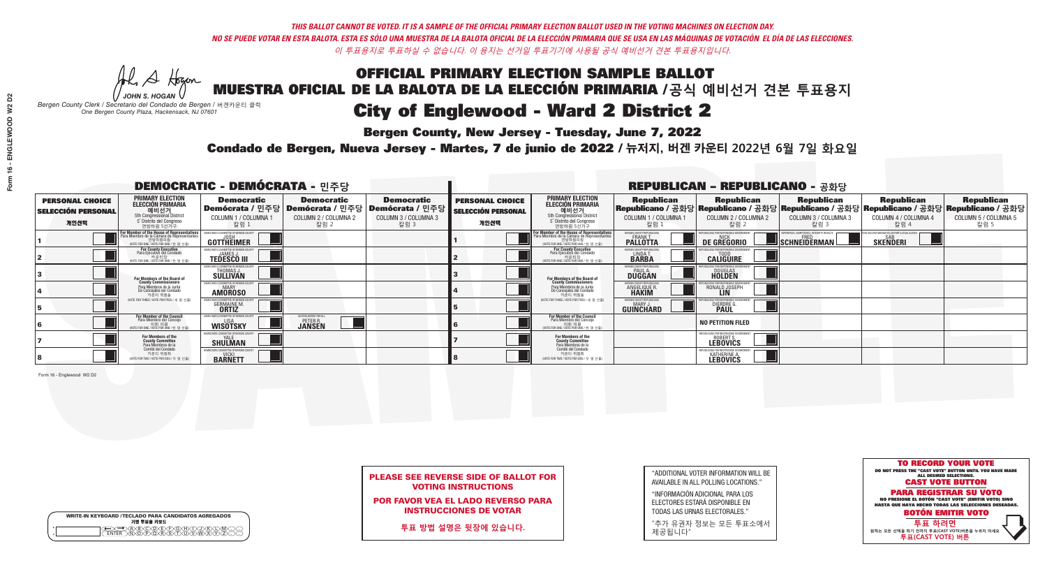**Bergen County, New Jersey - Tuesday, June 7, 2022** 

Al Stogan *JOHN S. HOGAN*

|                    | <b>WRITE-IN KEYBOARD /TECLADO PARA CANDIDATOS AGREGADOS</b><br>기명 투표용 키보드 |  |
|--------------------|---------------------------------------------------------------------------|--|
| $\circ$<br>$\circ$ | CODE F                                                                    |  |

*Bergen County Clerk / Secretario del Condado de Bergen /* 버겐카운티 클럭 *One Bergen County Plaza, Hackensack, NJ 07601*



|                            |  |  |  |  | <b>PLEASE SEE REVERSE SIDE OF BALLOT FOR</b> |  |  |  |
|----------------------------|--|--|--|--|----------------------------------------------|--|--|--|
| <b>VOTING INSTRUCTIONS</b> |  |  |  |  |                                              |  |  |  |

POR FAVOR VEA EL LADO REVERSO PARA INSTRUCCIONES DE VOTAR

**투표 방법 설명은 뒷장에 있습니다.**

| "ADDITIONAL VOTER INFORMATION WILL BE |
|---------------------------------------|
| AVAILABLE IN ALL POLLING LOCATIONS."  |

"INFORMACIÓN ADICIONAL PARA LOS ELECTORES ESTARÁ DISPONIBLE EN TODAS LAS URNAS ELECTORALES."

"추가 유권자 정보는 모든 투표소에서 제공됩니다"

Condado de Bergen, Nueva Jersey - Martes, 7 de junio de 2022 / 뉴저지, 버겐 카운티 2022년 6월 7일 화요일 *One Bergen County Plaza, Hackensack, NJ 07601*

|                                                     |                                                                                                                                             | <b>DEMOCRATIC - DEMÓCRATA -</b> 민주당                           |                                                        |                                                                        | <b>REPUBLICAN - REPUBLICANO - 공화당</b>        |                                                                                                                                               |                                                          |                                              |                                          |                                                                                                                                                                                    |                              |
|-----------------------------------------------------|---------------------------------------------------------------------------------------------------------------------------------------------|---------------------------------------------------------------|--------------------------------------------------------|------------------------------------------------------------------------|----------------------------------------------|-----------------------------------------------------------------------------------------------------------------------------------------------|----------------------------------------------------------|----------------------------------------------|------------------------------------------|------------------------------------------------------------------------------------------------------------------------------------------------------------------------------------|------------------------------|
| <b>PERSONAL CHOICE</b><br><b>SELECCIÓN PERSONAL</b> | <b>PRIMARY ELECTION</b><br>ELECCIÓN PRIMARIA<br>예비선거<br><sub>5th Congressional District</sub>                                               | <b>Democratic</b>                                             | <b>Democratic</b>                                      | <b>Democratic</b><br>│Demócrata / 민주당│Demócrata / 민주당│Demócrata / 민주당┃ | <b>PERSONAL CHOICE</b><br>SELECCIÓN PERSONAL | <b>PRIMARY ELECTION</b><br>ELECCIÓN PRIMARIA<br>예비선거<br><sub>5th Congressional District</sub>                                                 |                                                          |                                              |                                          | │ Republican │ Republican │ Republican │ Republican Republican Republican Republican<br>│Republicano / 공화당│Republicano / 공화당│Republicano / 공화당│Republicano / 공화당│Republicano / 공화당 |                              |
| 개인선택                                                | 5° Distrito del Congreso<br>연방하원 5선거구                                                                                                       | COLUMN 1 / COLUMNA 1<br>칼럼 1                                  | COLUMN 2 / COLUMNA 2<br>칼럼 2                           | COLUMN 3 / COLUMNA 3<br>칼럼 3                                           | 개인선택                                         | 5° Distrito del Congreso<br>연방하원 5선거구                                                                                                         | COLUMN 1 / COLUMNA 1<br>칼럼 1                             | COLUMN 2 / COLUMNA 2<br>칼럼 2                 | COLUMN 3 / COLUMNA 3<br>칼럼 3             | COLUMN 4 / COLUMNA 4<br>칼럼 4                                                                                                                                                       | COLUMN 5 / COLUMNA 5<br>칼럼 5 |
|                                                     | or Member of the House of Representatives<br>ara Miembro de la Cámara de Representantes<br>연방하원의원<br>(VOTE FOR ONE / VOTE POR UNO / 한 명 선출) | DEMOCRATIC COMMITTEE OF BERGEN COUNT<br>GOTTHEIMER            |                                                        |                                                                        |                                              | For Member of the House of Representatives<br>Para Miembro de la Cámara de Representantes<br>연방하원의원<br>(VOTE FOR ONE / VOTE POR UNO / 한 명 선출) | ERGEN COUNTY REPUBLICANS<br><b>PALLOTTA</b>              | DE GREGORIO                                  | PERIENCE. COMPETENCE. INTEGRITY. RESULTS | VACCINE MANDATES, DEPORT ILLEGAL ALIEN<br><b>SKENDERI</b>                                                                                                                          |                              |
|                                                     | For County Executive<br>Para Ejecutivo del Condado<br>가운티장<br>(VOTE FOR ONE / VOTE POR UNO / 한 명 선출)                                        | <b>TEDESCO III</b>                                            |                                                        |                                                                        |                                              | For County Executive<br>Para Ejecutivo del Condado<br>. 기운티장<br>(VOTE FOR ONE / VOTE POR UNO / 한 명 선출)                                        | LINDA T.                                                 | <b>CALIGUIRE</b>                             |                                          |                                                                                                                                                                                    |                              |
|                                                     | For Members of the Board of<br>County Commissioners                                                                                         | <b>THOMAS J.</b><br><b>SULLIVAN</b>                           |                                                        |                                                                        |                                              | For Members of the Board of<br>County Commissioners                                                                                           | RGEN COUNTY REPUBLICA<br><b>PAUL A.</b><br><b>DUGGAN</b> | DOUGLAS<br><b>HOLDEN</b>                     |                                          |                                                                                                                                                                                    |                              |
|                                                     | Para Miembros de la Junta<br>De Concejales del Condado<br>카우티 위원들                                                                           | IC COMMITTEE OF BERGEN COUNT<br><b>MARY</b><br><b>AMOROSO</b> |                                                        |                                                                        |                                              | Para Miembros de la Junta<br>De Concejales del Condado<br>카운티 위원들                                                                             | GEN COUNTY REPUBLICAN<br><b>ANGELIQUE R<br/>HAKIM</b>    | RONALD JOSEPH                                |                                          |                                                                                                                                                                                    |                              |
|                                                     | VOTE FOR THREE / VOTE POR TRES / 세 명 선출)                                                                                                    | <b>GERMAINE M</b><br><b>ORTIZ</b>                             |                                                        |                                                                        |                                              | NOTE FOR THREE / VOTE POR TRES / 세 명 서축                                                                                                       | <b>RGEN COUNTY REPUBLICANS</b><br><b>GUINCHARD</b>       | DIERDRE <sup>C</sup>                         |                                          |                                                                                                                                                                                    |                              |
|                                                     | <b>For Member of the Council</b><br>Para Miembro del Conceio<br>NOTE FOR ONE / VOTE POR UNO / 하 명 선례                                        | EMOCRATIC COMMITTEE OF BERGEN (<br><b>WISOTSKY</b>            | AN ENGLEWOOD FOR A<br><b>PETER R.</b><br><b>JANSEN</b> |                                                                        |                                              | <b>For Member of the Council</b><br>Para Miembro del Conceio<br>이호 의원<br>(VOTE FOR ONE / VOTE POR UNO / 한 명 신                                 |                                                          | <b>NO PETITION FILED</b>                     |                                          |                                                                                                                                                                                    |                              |
|                                                     | For Members of the<br>County Committee<br>Para Miembros de la<br>Comité del Condado                                                         | <b>SHULMAN</b>                                                |                                                        |                                                                        |                                              | For Members of the<br>County Committee<br>Para Miembros de la<br>Comité del Condado                                                           |                                                          | REPUBLICANS FOR RESPONSIBLE GOY<br>ROBERT S. |                                          |                                                                                                                                                                                    |                              |
|                                                     | 카운티 위원회<br>(VOTE FOR TWO / VOTE POR DOS / 두 명 선출)                                                                                           | <b>VICKI</b><br><b>BARNETT</b>                                |                                                        |                                                                        |                                              | 카운티 위원회<br>VOTE FOR TWO / VOTE POR DOS / 두 명 선출)                                                                                              |                                                          | <b>KATHERINE A.</b><br><b>LEBOVICS</b>       |                                          |                                                                                                                                                                                    |                              |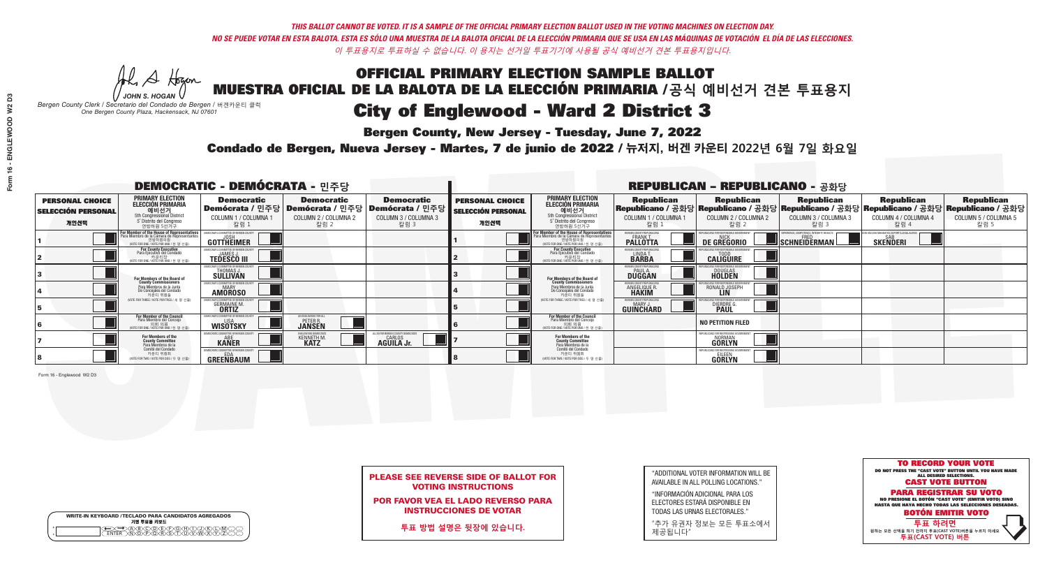### OFFICIAL PRIMARY ELECTION SAMPLE BALLOT MUESTRA OFICIAL DE LA BALOTA DE LA ELECCIÓN PRIMARIA /**공식 예비선거 견본 투표용지 Bergen County, New Jersey - Tuesday, June 7, 2022** City of Englewood - Ward 2 District 3

A Hogan *JOHN S. HOGAN*

|         | <b>WRITE-IN KEYBOARD /TECLADO PARA CANDIDATOS AGREGADOS</b><br>기명 투표용 키보드 |
|---------|---------------------------------------------------------------------------|
| $\circ$ | )(B)C)(D)(E)(F)(G)(H)(T)<br><u> \\U\\&amp;\&amp;\¥</u> \                  |

*Bergen County Clerk / Secretario del Condado de Bergen /* 버겐카운티 클럭 *One Bergen County Plaza, Hackensack, NJ 07601*

Condado de Bergen, Nueva Jersey - Martes, 7 de junio de 2022 / 뉴저지, 버겐 카운티 2022년 6월 7일 화요일 *One Bergen County Plaza, Hackensack, NJ 07601*



PLEASE SEE REVERSE SIDE OF BALLOT FOR VOTING INSTRUCTIONS

POR FAVOR VEA EL LADO REVERSO PARA INSTRUCCIONES DE VOTAR

**투표 방법 설명은 뒷장에 있습니다.**

"ADDITIONAL VOTER INFORMATION WILL BE AVAILABLE IN ALL POLLING LOCATIONS."

"INFORMACIÓN ADICIONAL PARA LOS ELECTORES ESTARÁ DISPONIBLE EN TODAS LAS URNAS ELECTORALES."

"추가 유권자 정보는 모든 투표소에서 제공됩니다"

|                                                     |                                                                                                                                             | <b>DEMOCRATIC - DEMÓCRATA -</b> 민주당                            | <b>REPUBLICAN - REPUBLICANO - 공화당</b>                  |                                                                        |                                              |                                                                                                                                               |                                                          |                                                    |                                                                   |                                                                                                                                                                                    |                              |
|-----------------------------------------------------|---------------------------------------------------------------------------------------------------------------------------------------------|----------------------------------------------------------------|--------------------------------------------------------|------------------------------------------------------------------------|----------------------------------------------|-----------------------------------------------------------------------------------------------------------------------------------------------|----------------------------------------------------------|----------------------------------------------------|-------------------------------------------------------------------|------------------------------------------------------------------------------------------------------------------------------------------------------------------------------------|------------------------------|
| <b>PERSONAL CHOICE</b><br><b>SELECCIÓN PERSONAL</b> | <b>PRIMARY ELECTION</b><br>ELECCIÓN PRIMARIA<br>예비선거<br><sub>5th Congressional District</sub>                                               | <b>Democratic</b>                                              | <b>Democratic</b>                                      | <b>Democratic</b><br>│Demócrata / 민주당│Demócrata / 민주당│Demócrata / 민주당┃ | <b>PERSONAL CHOICE</b><br>SELECCIÓN PERSONAL | <b>PRIMARY ELECTION</b><br>ELECCIÓN PRIMARIA<br>예비선거<br><sub>5th Congressional District</sub>                                                 |                                                          |                                                    |                                                                   | │ Republican │ Republican │ Republican │ Republican Republican Republican Republican<br>│Republicano / 공화당│Republicano / 공화당│Republicano / 공화당│Republicano / 공화당│Republicano / 공화당 |                              |
| 개인선택                                                | 5° Distrito del Congreso<br>연방하원 5선거구                                                                                                       | COLUMN 1 / COLUMNA 1<br>칼럼 1                                   | COLUMN 2 / COLUMNA 2<br>칼럼 2                           | COLUMN 3 / COLUMNA 3<br>칼럼 3                                           | 개인선택                                         | 5° Distrito del Congreso<br>연방하원 5선거구                                                                                                         | COLUMN 1 / COLUMNA 1<br>칼럼 1                             | COLUMN 2 / COLUMNA 2<br>칼럼 2                       | COLUMN 3 / COLUMNA 3<br>칼럼 3                                      | COLUMN 4 / COLUMNA 4<br>칼럼 4                                                                                                                                                       | COLUMN 5 / COLUMNA 5<br>칼럼 5 |
|                                                     | or Member of the House of Representatives<br>ara Miembro de la Cámara de Representantes<br>연방하원의원<br>(VOTE FOR ONE / VOTE POR UNO / 한 명 선출) | EMOCRATIC COMMITTEE OF BERGEN COUN<br>GOTTHEIMER               |                                                        |                                                                        |                                              | For Member of the House of Representatives<br>Para Miembro de la Cámara de Representantes<br>연방하원의원<br>(VOTE FOR ONE / VOTE POR UNO / 한 명 선출) | ERGEN COUNTY REPUBLICAN:<br><b>PALLOTTA</b>              | <b>DE GREGORIO</b>                                 | PERIENCE. COMPETENCE. INTEGRITY. RESULTS<br><b>Ischneiderman!</b> | VACCINE MANDATES, DEPORT ILLEGAL ALIEI<br><b>SKENDERI</b>                                                                                                                          |                              |
|                                                     | For County Executive<br>Para Ejecutivo del Condado<br>가운티장<br>(VOTE FOR ONE / VOTE POR UNO / 한 명 선출)                                        | <b>TEDESCO III</b>                                             |                                                        |                                                                        |                                              | For County Executive<br>Para Ejecutivo del Condado<br>. 기운티장<br>(VOTE FOR ONE / VOTE POR UNO / 한 명 선출)                                        | LINDA T.                                                 | <b>CALIGUIRE</b>                                   |                                                                   |                                                                                                                                                                                    |                              |
|                                                     | For Members of the Board of<br>County Commissioners                                                                                         | <b>THOMAS J.</b><br><b>SULLIVAN</b>                            |                                                        |                                                                        |                                              | For Members of the Board of<br>County Commissioners                                                                                           | RGEN COUNTY REPUBLICA<br><b>PAUL A.</b><br><b>DUGGAN</b> | DOUGLAS<br><b>HOLDEN</b>                           |                                                                   |                                                                                                                                                                                    |                              |
|                                                     | Para Miembros de la Junta<br>De Concejales del Condado<br>카우티 위원들                                                                           | IC COMMITTEE OF BERGEN COUNT<br><b>MARY</b><br><b>AMOROSO</b>  |                                                        |                                                                        |                                              | Para Miembros de la Junta<br>De Concejales del Condado<br>카운티 위원들                                                                             | GEN COUNTY REPUBLICAN<br><b>ANGELIQUE R<br/>HAKIM</b>    | RONALD JOSEPH                                      |                                                                   |                                                                                                                                                                                    |                              |
|                                                     | VOTE FOR THREE / VOTE POR TRES / 세 명 선출)                                                                                                    | <b>GERMAINE M</b><br><b>ORTIZ</b>                              |                                                        |                                                                        |                                              | NOTE FOR THREE / VOTE POR TRES / 세 명 서축                                                                                                       | <b>RGEN COUNTY REPUBLICANS</b><br><b>GUINCHARD</b>       | DIERDRE <sup>C</sup>                               |                                                                   |                                                                                                                                                                                    |                              |
|                                                     | <b>For Member of the Council</b><br>Para Miembro del Conceio<br>NOTE FOR ONE / VOTE POR UNO / 하 명 선원                                        | EMOCRATIC COMMITTEE OF BERGEN C<br><b>WISOTSKY</b>             | AN ENGLEWOOD FOR A<br><b>PETER R.</b><br><b>JANSEN</b> |                                                                        |                                              | <b>For Member of the Council</b><br>Para Miembro del Conceio<br>이호 의원<br>(VOTE FOR ONE / VOTE POR UNO / 한 명 신                                 |                                                          | <b>NO PETITION FILED</b>                           |                                                                   |                                                                                                                                                                                    |                              |
|                                                     | For Members of the<br>County Committee<br>Para Miembros de la<br>Comité del Condado                                                         | <b>KANER</b>                                                   | KENNETH M.                                             | CARLOS <b>AGUILA Jr.</b>                                               |                                              | For Members of the<br>County Committee<br>Para Miembros de la<br>Comité del Condado                                                           |                                                          | REPUBLICANS FOR RESPONSIBLE GO<br>NORMAN<br>GORLYN |                                                                   |                                                                                                                                                                                    |                              |
|                                                     | 카운티 위원회<br>(VOTE FOR TWO / VOTE POR DOS / 두 명 선출)                                                                                           | <b>EMOCRATIC COMMITTEE OF BERGEN COUNT</b><br><b>GREENBAUM</b> |                                                        |                                                                        |                                              | 카운티 위원회<br>VOTE FOR TWO / VOTE POR DOS / 두 명 선출)                                                                                              |                                                          | REPUBLICANS FOR RESPONSIBLI<br><b>GÖRLYN</b>       |                                                                   |                                                                                                                                                                                    |                              |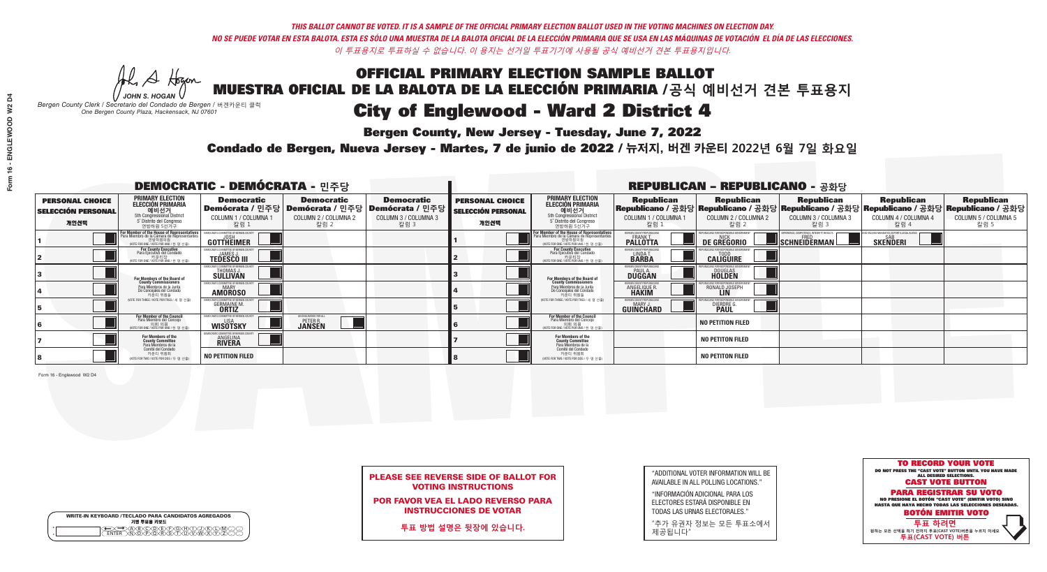**Bergen County, New Jersey - Tuesday, June 7, 2022** 

Al Stogan *JOHN S. HOGAN*

|        | <b>WRITE-IN KEYBOARD /TECLADO PARA CANDIDATOS AGREGADOS</b><br>기명 투표용 키보드 |  |
|--------|---------------------------------------------------------------------------|--|
| o<br>o | ACBCODECFOGCHOL<br><u> እንቅነፍ እንችነር</u>                                    |  |

*Bergen County Clerk / Secretario del Condado de Bergen /* 버겐카운티 클럭 *One Bergen County Plaza, Hackensack, NJ 07601*



PLEASE SEE REVERSE SIDE OF BALLOT FOR VOTING INSTRUCTIONS

POR FAVOR VEA EL LADO REVERSO PARA INSTRUCCIONES DE VOTAR

**투표 방법 설명은 뒷장에 있습니다.**

| "ADDITIONAL VOTER INFORMATION WILL BE |
|---------------------------------------|
| AVAILABLE IN ALL POLLING LOCATIONS."  |

"INFORMACIÓN ADICIONAL PARA LOS ELECTORES ESTARÁ DISPONIBLE EN TODAS LAS URNAS ELECTORALES."

"추가 유권자 정보는 모든 투표소에서 제공됩니다"

Condado de Bergen, Nueva Jersey - Martes, 7 de junio de 2022 / 뉴저지, 버겐 카운티 2022년 6월 7일 화요일 *One Bergen County Plaza, Hackensack, NJ 07601*

|                                                     |                                                                                                                                               |                                                                     |                                                                        | <b>REPUBLICAN - REPUBLICANO - 공화당</b> |                                                     |                                                                                                                                                     |                                                                  |                                 |                                                                                                                                                                                    |                                                                |                              |
|-----------------------------------------------------|-----------------------------------------------------------------------------------------------------------------------------------------------|---------------------------------------------------------------------|------------------------------------------------------------------------|---------------------------------------|-----------------------------------------------------|-----------------------------------------------------------------------------------------------------------------------------------------------------|------------------------------------------------------------------|---------------------------------|------------------------------------------------------------------------------------------------------------------------------------------------------------------------------------|----------------------------------------------------------------|------------------------------|
| <b>PERSONAL CHOICE</b><br><b>SELECCIÓN PERSONAL</b> | <b>PRIMARY ELECTION</b><br>ELECCIÓN PRIMARIA<br>예비선거<br><sub>5th Congressional District</sub>                                                 | <b>Democratic</b>                                                   | <b>Democratic</b><br>│Demócrata / 민주당│Demócrata / 민주당│Demócrata / 민주당┃ | <b>Democratic</b>                     | <b>PERSONAL CHOICE</b><br><b>SELECCIÓN PERSONAL</b> | <b>PRIMARY ELECTION</b><br>ELECCIÓN PRIMARIA<br>예비선거<br>5th Congressional District<br>5 <sup>'</sup> Distrito del Congreso                          |                                                                  |                                 | │ Republican │ Republican │ Republican │ Republican Republican Republican Republican<br>│Republicano / 공화당│Republicano / 공화당│Republicano / 공화당│Republicano / 고화당│Republicano / 공화당 |                                                                |                              |
| 개인선택                                                | 5° Distrito del Congreso<br>연방하원 5선거구                                                                                                         | COLUMN 1 / COLUMNA 1<br>칼럼 :                                        | COLUMN 2 / COLUMNA 2<br>칼럼 2                                           | COLUMN 3 / COLUMNA 3<br>칼럼 3          | 개인선택                                                | 연방하원 5선거구                                                                                                                                           | COLUMN 1 / COLUMNA 1<br>칼럼 :                                     | COLUMN 2 / COLUMNA 2<br>칼럼 2    | COLUMN 3 / COLUMNA 3<br>칼럼 3                                                                                                                                                       | COLUMN 4 / COLUMNA 4<br>칼럼 4                                   | COLUMN 5 / COLUMNA 5<br>칼럼 5 |
|                                                     | For Member of the House of Representatives<br>Para Miembro de la Cámara de Representantes<br>연방하원의원<br>(VOTE FOR ONE / VOTE POR UNO / 한 명 선출) | GOTTHEIMER                                                          |                                                                        |                                       |                                                     | <b>For Member of the House of Representatives<br/>Para Miembro de la Cámara de Representantes</b><br>연방하원의원<br>(VOTE FOR ONE / VOTE POR UNO / 한명선출) | BERGEN COUNTY REPUBLICAN:<br><b>PALLOTTA</b>                     | DE GREGORIO                     | XPERIENCE, COMPETENCE, INTEGRITY, RESULTS<br>SCHNEIDERMAN                                                                                                                          | END VACCINE MANDATES, DEPORT ILLEGAL ALIEN!<br><b>SKENDERI</b> |                              |
|                                                     | For County Executive<br>Para Ejecutivo del Condado<br>가운티장<br>(VOTE FOR ONE / VOTE POR UNO / 한 명 선출)                                          | <b>TEDESCO III</b>                                                  |                                                                        |                                       |                                                     | For County Executive<br>Para Ejecutivo del Condado<br>7) 카운티장<br>(VOTE FOR ONE / VOTE POR UNO / 한 명 선출)                                             | LINDA T.                                                         | <b>CALIGUIRE</b>                |                                                                                                                                                                                    |                                                                |                              |
|                                                     | For Members of the Board of<br>County Commissioners                                                                                           | MOCRATIC COMMITTEE OF RERGEN<br>THOMAS J.                           |                                                                        |                                       |                                                     | For Members of the Board of<br>County Commissioners                                                                                                 | <b>FRGEN COUNTY REPUBLICA</b><br><b>PAUL A.</b><br><b>DUGGAN</b> | <b>DOUGLAS</b><br><b>HOLDEN</b> |                                                                                                                                                                                    |                                                                |                              |
|                                                     | Para Miembros de la Junta<br>De Concejales del Condado<br>카우티 위원들                                                                             | IOCRATIC COMMITTEE OF BERGEN COUNT<br><b>MARY</b><br><b>AMOROSO</b> |                                                                        |                                       |                                                     | Para Miembros de la Junta<br>De Concejales del Condado<br>카운티 위원들                                                                                   | RGEN COUNTY REPUBLICAI<br><b>ANGELIQUE R</b>                     | RONALD JOSEPH                   |                                                                                                                                                                                    |                                                                |                              |
|                                                     | VOTE FOR THREF / VOTE POR TRES / 세 명 서축                                                                                                       | <b>GERMAINE M</b><br><b>ORTIZ</b>                                   |                                                                        |                                       |                                                     | NOTE FOR THREE / VOTE POR TRES / 세 명 선출                                                                                                             | ERGEN COUNTY REPUBLICANS<br><b>GUINCHARD</b>                     | DIERDRE G                       |                                                                                                                                                                                    |                                                                |                              |
|                                                     | <b>For Member of the Council</b><br>Para Miembro del Conceio<br>WOTE FOR ONE / VOTE POR UNO / 하 명 선례                                          | EMOCRATIC COMMITTEE OF BERGEN O<br><b>WISOTSKY</b>                  | AN ENGLEWOOD FOR AI<br><b>PETER R.</b><br><b>JANSEN</b>                |                                       |                                                     | <b>For Member of the Council</b><br>Para Miembro del Concejo<br>이호 의원<br>(VOTE FOR ONE / VOTE POR UNO / 한명선                                         |                                                                  | <b>NO PETITION FILED</b>        |                                                                                                                                                                                    |                                                                |                              |
|                                                     | For Members of the<br>County Committee<br>Para Miembros de la<br>Comité del Condado                                                           | <b>ANGELINA</b>                                                     |                                                                        |                                       |                                                     | For Members of the<br>County Committee<br>Para Miembros de la<br>Comité del Condado                                                                 |                                                                  | <b>NO PETITON FILED</b>         |                                                                                                                                                                                    |                                                                |                              |
|                                                     | 카운티 위원회<br>WOTE FOR TWO / VOTE POR DOS / 두 명 선출)                                                                                              | NO PETITION FILED                                                   |                                                                        |                                       |                                                     | 카운티 위원회<br>WOTE FOR TWO / VOTE POR DOS / 두 명 선출)                                                                                                    |                                                                  | <b>NO PETITON FILED</b>         |                                                                                                                                                                                    |                                                                |                              |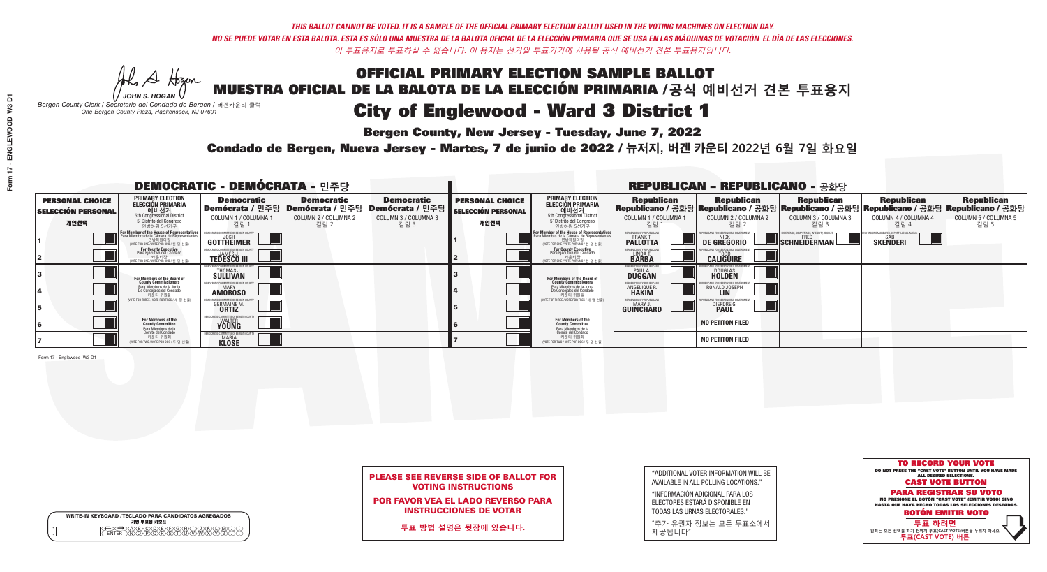**Bergen County, New Jersey - Tuesday, June 7, 2022** 

Al Stogan *JOHN S. HOGAN*

|              | <b>WRITE-IN KEYBOARD /TECLADO PARA CANDIDATOS AGREGADOS</b><br>기명 투표용 키보드 |  |
|--------------|---------------------------------------------------------------------------|--|
| ٥<br>$\circ$ | $\sqrt{D}\sqrt{C}$                                                        |  |

*Bergen County Clerk / Secretario del Condado de Bergen /* 버겐카운티 클럭 *One Bergen County Plaza, Hackensack, NJ 07601*



PLEASE SEE REVERSE SIDE OF BALLOT FOR VOTING INSTRUCTIONS

POR FAVOR VEA EL LADO REVERSO PARA INSTRUCCIONES DE VOTAR

**투표 방법 설명은 뒷장에 있습니다.**

| "ADDITIONAL VOTER INFORMATION WILL BE |
|---------------------------------------|
| AVAILABLE IN ALL POLLING LOCATIONS."  |
|                                       |

"INFORMACIÓN ADICIONAL PARA LOS ELECTORES ESTARÁ DISPONIBLE EN TODAS LAS URNAS ELECTORALES."

"추가 유권자 정보는 모든 투표소에서 제공됩니다"

Condado de Bergen, Nueva Jersey - Martes, 7 de junio de 2022 / 뉴저지, 버겐 카운티 2022년 6월 7일 화요일 *One Bergen County Plaza, Hackensack, NJ 07601*

|                                                             |                                                                                                                                        | <b>DEMOCRATIC - DEMÓCRATA - 민주당</b>                        |                                                   |                                                                                                                   | <b>REPUBLICAN - REPUBLICANO - 공화당</b>                       |                                                                                                                                                  |                                                             |                                                                                                                                                |                                                           |                                                               |                                                   |  |
|-------------------------------------------------------------|----------------------------------------------------------------------------------------------------------------------------------------|------------------------------------------------------------|---------------------------------------------------|-------------------------------------------------------------------------------------------------------------------|-------------------------------------------------------------|--------------------------------------------------------------------------------------------------------------------------------------------------|-------------------------------------------------------------|------------------------------------------------------------------------------------------------------------------------------------------------|-----------------------------------------------------------|---------------------------------------------------------------|---------------------------------------------------|--|
| <b>PERSONAL CHOICE</b><br><b>SELECCIÓN PERSONAL</b><br>개인선택 | <b>PRIMARY ELECTION</b><br>ELECCIÓN PRIMARIA<br>예비선거<br><sub>5th Congressional</sub> District<br>5° Distrito del Congreso<br>연방하원 5선거구 | <b>Democratic</b><br>COLUMN 1 / COLUMNA<br>칼럼 1            | <b>Democratic</b><br>COLUMN 2 / COLUMNA 2<br>칼럼 2 | <b>Democratic</b><br>  Demócrata / 민주당   Demócrata / 민주당   Demócrata / 민주당<br><b>COLUMN 3 / COLUMNA 3</b><br>칼럼 3 | <b>PERSONAL CHOICE</b><br><b>SELECCIÓN PERSONAL</b><br>개인선택 | <b>PRIMARY ELECTION</b><br>ELECCIÓN PRIMARIA<br>예비선거<br><sub>5</sub> District<br>5 Distrite del Congreso<br>연방하원 5선거구                            | <b>Republican</b><br>COLUMN 1 / COLUMNA 1<br>"칼럼 1          | <b>Republican</b><br>Republicano / 공화당 Republicano / 공화당 Republicano / 공화당 Republicano / 공화당 Republicano / 공화당<br>COLUMN 2 / COLUMNA 2<br>칼럼 2 | <b>Republican</b><br>COLUMN 3 / COLUMNA 3<br>칼럼 3         | <b>Republican</b><br>COLUMN 4 / COLUMNA 4<br>칼럼 4             | <b>Republican</b><br>COLUMN 5 / COLUMNA 5<br>칼럼 5 |  |
|                                                             | For Member of the House of Representatives<br>Para Miembro de la Cámara de Representantes                                              | DEMOCRATIC COMMITTEE OF BERGEN COUN<br>GOTTHEIMER          |                                                   |                                                                                                                   |                                                             | F <mark>or Member of the House of Representatives</mark><br>Para Miembro de la Cámara de Representantes<br>WOTE FOR ONE / VOTE POR UNO / 한 명 선출) | BERGEN COUNTY REPUBLICANS<br><b>FRANK T</b><br>PALLOTTA     | DE GREGORIO                                                                                                                                    | XPERIENCE, COMPETENCE, INTEGRITY, RESULTS<br>SCHNEIDERMAN | ND VACCINE MANDATES, DEPORT ILLEGAL ALIENS<br><b>SKENDERI</b> |                                                   |  |
|                                                             | For County Executive<br>Para Ejecutivo del Condado<br>VOTE FOR ONE / VOTE POR UNO / 한 명 선출)                                            | JAMES J<br><b>TEDESCO III</b>                              |                                                   |                                                                                                                   |                                                             | For County Executive<br>Para Ejecutivo del Condado<br>. 카운티장<br>(VOTE FOR ONE / VOTE POR UNO / 한 명 선출)                                           | BERGEN COUNTY REPUBLICAN<br>LINDA T.                        | <b>CALIGUIRE</b>                                                                                                                               |                                                           |                                                               |                                                   |  |
|                                                             | For Members of the Board of<br>County Commissioners                                                                                    | THOMAS J.                                                  |                                                   |                                                                                                                   |                                                             | <b>For Members of the Board of County Commissioners</b>                                                                                          | BERGEN COUNTY REPUBLICAN<br><b>PAUL A.</b><br><b>DUGGAN</b> | <b>DOUGLAS</b><br><b>HOLDEN</b>                                                                                                                |                                                           |                                                               |                                                   |  |
|                                                             | Para Miembros de la Junta<br>De Concejales del Condado<br>카우티 위원들                                                                      | CRATIC COMMITTEE OF BERGEN COUN'<br><b>AMOROSO</b>         |                                                   |                                                                                                                   |                                                             | Para Miembros de la Junta<br>De Concejales del Condado<br>카운티 위원들                                                                                | ERGEN COUNTY REPUBLICAN<br><b>ANGELIQUE F</b>               | RONALD JOSEPH                                                                                                                                  |                                                           |                                                               |                                                   |  |
|                                                             | (VOTE FOR THREE / VOTE POR TRES / 세 명 선출)                                                                                              | <b>GERMAINE M.</b><br><b>ORTIZ</b>                         |                                                   |                                                                                                                   |                                                             | (VOTE FOR THREE / VOTE POR TRES / 세 명 선출)                                                                                                        | ERGEN COUNTY REPUBLICAN<br>MARY J<br><b>GUINCHARD</b>       | <b>DIERDRE G<br/>PAUL</b>                                                                                                                      |                                                           |                                                               |                                                   |  |
|                                                             | For Members of the<br>County Committee<br>Para Miembros de la<br>Comité del Condado                                                    | MOCRATIC COMMITTEE OF BERGEN<br>WALTER<br><b>YOUNG</b>     |                                                   |                                                                                                                   |                                                             | For Members of the<br>County Committee                                                                                                           |                                                             | <b>NO PETITON FILED</b>                                                                                                                        |                                                           |                                                               |                                                   |  |
|                                                             | 카운티 위원회<br>(VOTE FOR TWO / VOTE POR DOS / 두 명 선출)                                                                                      | <b>CRATIC COMMITTEE OF BERGEN</b><br><b>MARIA</b><br>KLOSE |                                                   |                                                                                                                   |                                                             | Para Miembros de la<br>Comité del Condado<br>카운티 위원회<br>(VOTE FOR TWO / VOTE POR DOS / 두 명 선출)                                                   |                                                             | <b>NO PETITON FILED</b>                                                                                                                        |                                                           |                                                               |                                                   |  |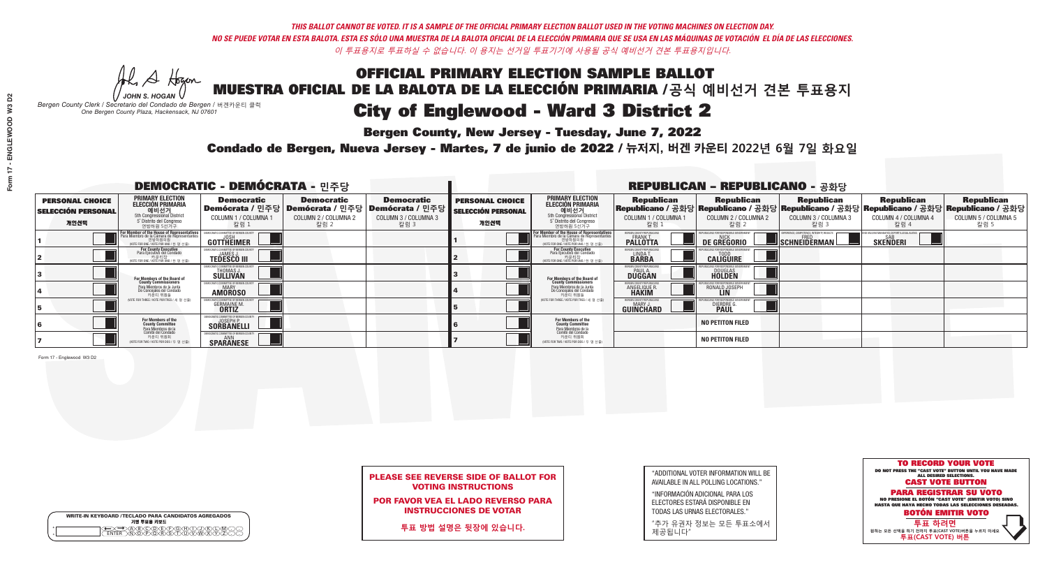**Bergen County, New Jersey - Tuesday, June 7, 2022** 

Al Stogan *JOHN S. HOGAN*

|                    | <b>WRITE-IN KEYBOARD /TECLADO PARA CANDIDATOS AGREGADOS</b><br>기명 투표용 키보드 |
|--------------------|---------------------------------------------------------------------------|
| $\circ$<br>$\circ$ |                                                                           |

*Bergen County Clerk / Secretario del Condado de Bergen /* 버겐카운티 클럭 *One Bergen County Plaza, Hackensack, NJ 07601*



PLEASE SEE REVERSE SIDE OF BALLOT FOR VOTING INSTRUCTIONS

POR FAVOR VEA EL LADO REVERSO PARA INSTRUCCIONES DE VOTAR

**투표 방법 설명은 뒷장에 있습니다.**

| "ADDITIONAL VOTER INFORMATION WILL BE |
|---------------------------------------|
| AVAILABLE IN ALL POLLING LOCATIONS."  |
|                                       |

"INFORMACIÓN ADICIONAL PARA LOS ELECTORES ESTARÁ DISPONIBLE EN TODAS LAS URNAS ELECTORALES."

"추가 유권자 정보는 모든 투표소에서 제공됩니다"

Condado de Bergen, Nueva Jersey - Martes, 7 de junio de 2022 / 뉴저지, 버겐 카운티 2022년 6월 7일 화요일 *One Bergen County Plaza, Hackensack, NJ 07601*

| <b>DEMOCRATIC - DEMÓCRATA - 민주당</b>                         |                                                                                                                                               |                                                                 |                                                   |                                                                                                              | <b>REPUBLICAN - REPUBLICANO - 공화당</b>                       |                                                                                                                                                  |                                                                 |                                                                                                                                                  |                                                          |                                                   |                                                   |
|-------------------------------------------------------------|-----------------------------------------------------------------------------------------------------------------------------------------------|-----------------------------------------------------------------|---------------------------------------------------|--------------------------------------------------------------------------------------------------------------|-------------------------------------------------------------|--------------------------------------------------------------------------------------------------------------------------------------------------|-----------------------------------------------------------------|--------------------------------------------------------------------------------------------------------------------------------------------------|----------------------------------------------------------|---------------------------------------------------|---------------------------------------------------|
| <b>PERSONAL CHOICE</b><br><b>SELECCIÓN PERSONAL</b><br>개인선택 | <b>PRIMARY ELECTION</b><br>ELECCIÓN PRIMARIA<br>에비선거<br>5th Congressional District<br>5 <sup>*</sup> Distrito del Congreso<br>연방하원 5선거구       | <b>Democratic</b><br>COLUMN 1 / COLUMNA<br>칼럼 1                 | <b>Democratic</b><br>COLUMN 2 / COLUMNA 2<br>칼럼 2 | <b>Democratic</b><br>  Demócrata / 민주당   Demócrata / 민주당   Demócrata / 민주당  <br>COLUMN 3 / COLUMNA 3<br>칼럼 3 | <b>PERSONAL CHOICE</b><br><b>SELECCIÓN PERSONAL</b><br>개인선택 | <b>PRIMARY ELECTION</b><br>ELECCIÓN PRIMARIA<br>예비선거<br>5th Congressional District<br>5 Distrito del Congreso<br>연방하원 5선거구                       | <b>Republican</b><br>COLUMN 1 / COLUMNA 1<br>"칼럼 1              | <b>Republican</b><br> Republicano / 공화당 Republicano / 공화당 Republicano / 공화당 Republicano / 공화당 Republicano / 공화당<br>COLUMN 2 / COLUMNA 2<br>-칼럼 2 | <b>Republican</b><br>COLUMN 3 / COLUMNA 3<br>칼럼 3        | <b>Republican</b><br>COLUMN 4 / COLUMNA 4<br>칼럼 4 | <b>Republican</b><br>COLUMN 5 / COLUMNA 5<br>칼럼 5 |
|                                                             | For Member of the House of Representatives<br>Para Miembro de la Cámara de Representantes<br>연방하원의원<br>(VOTE FOR ONE / VOTE POR UNO / 한 명 선출) | <b>COMMITTEE OF BERGEN COUNT</b><br>GOTTHEIMER                  |                                                   |                                                                                                              |                                                             | F <mark>or Member of the House of Representatives</mark><br>Para Miembro de la Cámara de Representantes<br>NOTE FOR ONE / VOTE POR UNO / 한 명 선출) | BERGEN COUNTY REPUBLICANS<br><b>FRANK T.</b><br><b>PALLOTTA</b> | <b>DE GREGORIO</b>                                                                                                                               | PERIENCE, COMPETENCE, INTEGRITY, RESULTS<br>SCHNEIDERMAN | <b>SKENDERI</b>                                   |                                                   |
|                                                             | For County Executive<br>Para Ejecutivo del Condado<br>/OTE FOR ONE / VOTE POR UNO / 한 명 선출)                                                   | <b>TEDESCO III</b>                                              |                                                   |                                                                                                              |                                                             | For County Executive<br>Para Ejecutivo del Condado<br>. 카운티장<br>(VOTE FOR ONE / VOTE POR UNO / 한 명 선출)                                           | BERGEN COUNTY REPUBLICAN<br>LINDA T.                            | <b>CALIGUIRE</b>                                                                                                                                 |                                                          |                                                   |                                                   |
|                                                             | For Members of the Board of<br>County Commissioners                                                                                           | THOMAS J.                                                       |                                                   |                                                                                                              |                                                             | <b>For Members of the Board of County Commissioners</b>                                                                                          | BERGEN COUNTY REPUBLICAN<br><b>DUGGAN</b>                       | <b>DOUGLAS</b><br><b>HOLDEN</b>                                                                                                                  |                                                          |                                                   |                                                   |
|                                                             | Para Miembros de la Junta<br>De Concejales del Condado<br>카운티 위원들                                                                             | OCRATIC COMMITTEE OF BERGEN COUN'<br><b>AMOROSO</b>             |                                                   |                                                                                                              |                                                             | Para Miembros de la Junta<br>De Concejales del Condado<br>카운티 위원들                                                                                | RGEN COUNTY REPUBLICAN<br><b>ANGELIQUE R</b>                    | RONALD JOSEPH                                                                                                                                    |                                                          |                                                   |                                                   |
|                                                             | NOTE FOR THREE / VOTE POR TRES / 세 명 선출)                                                                                                      | <b>GERMAINE M</b><br><b>ORTIZ</b>                               |                                                   |                                                                                                              |                                                             | (VOTE FOR THREE / VOTE POR TRES / 세 명 선출)                                                                                                        | ERGEN COUNTY REPUBLICAN<br>MARY J<br><b>GUINCHARD</b>           | <b>DIERDRE</b>                                                                                                                                   |                                                          |                                                   |                                                   |
|                                                             | For Members of the<br>County Committee<br>Para Miembros de la                                                                                 | EMOCRATIC COMMITTEE OF BERGEN<br>JOSEPH P.<br><b>SORBANELLI</b> |                                                   |                                                                                                              |                                                             | <b>For Members of the<br/>County Committee</b>                                                                                                   |                                                                 | <b>NO PETITON FILED</b>                                                                                                                          |                                                          |                                                   |                                                   |
|                                                             | Comité del Condado<br>카운티 위원회<br>(VOTE FOR TWO / VOTE POR DOS / 두 명 선출)                                                                       | ANN<br><b>SPARANESE</b>                                         |                                                   |                                                                                                              |                                                             | Para Miembros de la<br>Comité del Condado<br>카운티 위원회<br>NOTE FOR TWO / VOTE POR DOS / 두 명 선출)                                                    |                                                                 | <b>NO PETITON FILED</b>                                                                                                                          |                                                          |                                                   |                                                   |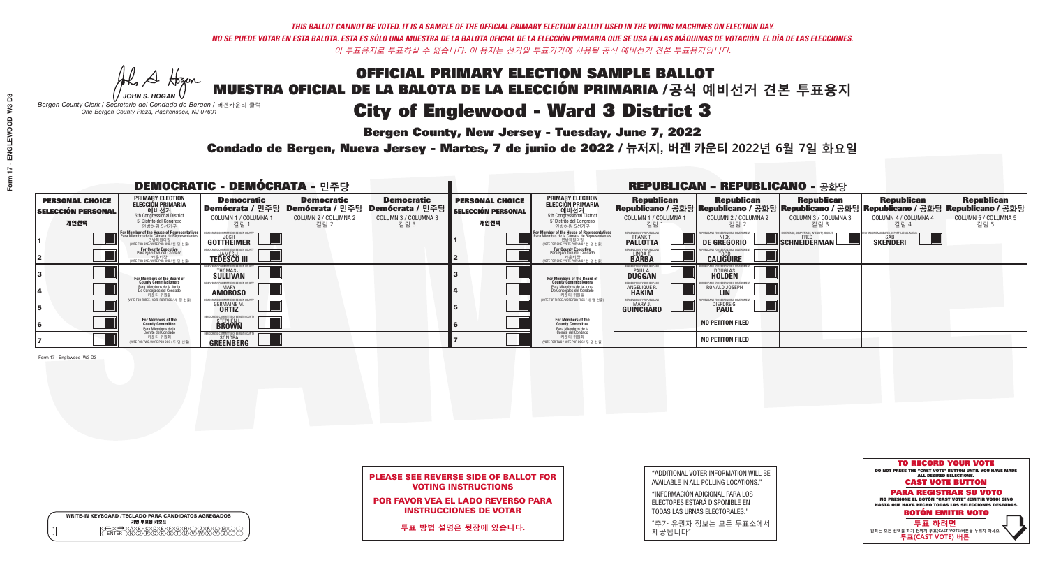**Bergen County, New Jersey - Tuesday, June 7, 2022** 

Al Stogan *JOHN S. HOGAN*

|         | <b>WRITE-IN KEYBOARD /TECLADO PARA CANDIDATOS AGREGADOS</b><br>기명 투표용 키보드 |
|---------|---------------------------------------------------------------------------|
| ω       | )(B)(C)(D)(E)(F)(G)(H)(                                                   |
| $\circ$ | <u>፝ዀ፟</u> ዀዂጞጞዀ                                                          |

*Bergen County Clerk / Secretario del Condado de Bergen /* 버겐카운티 클럭 *One Bergen County Plaza, Hackensack, NJ 07601*



PLEASE SEE REVERSE SIDE OF BALLOT FOR VOTING INSTRUCTIONS

POR FAVOR VEA EL LADO REVERSO PARA INSTRUCCIONES DE VOTAR

**투표 방법 설명은 뒷장에 있습니다.**

| "ADDITIONAL VOTER INFORMATION WILL BE |
|---------------------------------------|
| AVAILABLE IN ALL POLLING LOCATIONS."  |
|                                       |

"INFORMACIÓN ADICIONAL PARA LOS ELECTORES ESTARÁ DISPONIBLE EN TODAS LAS URNAS ELECTORALES."

"추가 유권자 정보는 모든 투표소에서 제공됩니다"

Condado de Bergen, Nueva Jersey - Martes, 7 de junio de 2022 / 뉴저지, 버겐 카운티 2022년 6월 7일 화요일 *One Bergen County Plaza, Hackensack, NJ 07601*

| <b>DEMOCRATIC - DEMÓCRATA - 민주당</b>                         |                                                                                                                             |                                                                                                             |                                                   | <b>REPUBLICAN - REPUBLICANO - 공화당</b>             |                                                             |                                                                                                                                                      |                                                               |                                                   |                                                   |                                                                                                                                                |                                                   |
|-------------------------------------------------------------|-----------------------------------------------------------------------------------------------------------------------------|-------------------------------------------------------------------------------------------------------------|---------------------------------------------------|---------------------------------------------------|-------------------------------------------------------------|------------------------------------------------------------------------------------------------------------------------------------------------------|---------------------------------------------------------------|---------------------------------------------------|---------------------------------------------------|------------------------------------------------------------------------------------------------------------------------------------------------|---------------------------------------------------|
| <b>PERSONAL CHOICE</b><br><b>SELECCIÓN PERSONAL</b><br>개인선택 | <b>PRIMARY ELECTION</b><br>ELECCIÓN PRIMARIA<br>예비선거<br>5th Congressional District<br>5° Distrito del Congreso<br>연방하원 5선거구 | <b>Democratic</b><br>│Demócrata / 민주당│Demócrata / 민주당│Demócrata / 민주당┃<br><b>COLUMN 1 / COLUMNA</b><br>칼럼 1 | <b>Democratic</b><br>COLUMN 2 / COLUMNA 2<br>칼럼 2 | <b>Democratic</b><br>COLUMN 3 / COLUMNA 3<br>칼럼 3 | <b>PERSONAL CHOICE</b><br><b>SELECCIÓN PERSONAL</b><br>개인선택 | <b>PRIMARY ELECTION</b><br><b>ELECCIÓN PRIMARIA</b><br>예비선거<br>5th Congressional District<br>5 Distrito del Congreso<br>연방하원 5선거구                    | <b>Republican</b><br>COLUMN 1 / COLUMNA 1<br>칼럼 :             | <b>Republican</b><br>COLUMN 2 / COLUMNA 2<br>칼럼 2 | <b>Republican</b><br>COLUMN 3 / COLUMNA 3<br>칼럼 3 | <b>Republican</b><br>Republicano / 공화당 Republicano / 공화당 Republicano / 공화당 Republicano / 공화당 Republicano / 공화당<br>COLUMN 4 / COLUMNA 4<br>칼럼 4 | <b>Republican</b><br>COLUMN 5 / COLUMNA 5<br>칼럼 5 |
|                                                             | For Member of the House of Representatives<br>Para Miembro de la Cámara de Representantes                                   | COMMITTEE OF BERGEN COUNT<br><b>GOTTHEIMER</b>                                                              |                                                   |                                                   |                                                             | <b>For Member of the House of Representatives</b><br>Para Miembro de la Cámara de Representantes<br>엔망아원의원<br>(WOTE FOR ONE / VOTE POR UNO / 한 명 선출) | BERGEN COUNTY REPUBLICANS<br><b>FRANKT</b>                    | DE GREGORIO                                       | SCHNEIDERMAN                                      | SAB<br><b>SKENDERI</b>                                                                                                                         |                                                   |
|                                                             | For County Executive<br>Para Ejecutivo del Condado<br>'OTE FOR ONE / VOTE POR UNO / 한 명 선출)                                 | <b>TEDESCO III</b>                                                                                          |                                                   |                                                   |                                                             | <b>For County Executive</b><br>Para Ejecutivo del Condado<br>,<br>가운티장<br>/OTE FOR ONE / VOTE POR UNO / 한 명 선출                                       | BERGEN COUNTY REPUBLICAN<br>LINDA T.                          | <b>CALIGUIRE</b>                                  |                                                   |                                                                                                                                                |                                                   |
|                                                             | <b>For Members of the Board of<br/>County Commissioners</b>                                                                 | DCRATIC COMMITTEE OF BERGEN COUN<br>THOMAS J.                                                               |                                                   |                                                   |                                                             | <b>For Members of the Board of<br/>County Commissioners</b>                                                                                          | BERGEN COUNTY REPUBLICAN:<br><b>DUGGAN</b>                    | DOUGLAS<br><b>HOLDEN</b>                          |                                                   |                                                                                                                                                |                                                   |
|                                                             | Para Miembros de la Junta<br>De Conceiales del Condado<br>카운티 위원들                                                           | DCRATIC COMMITTEE OF BERGEN COUNT<br><b>AMOROSO</b>                                                         |                                                   |                                                   |                                                             | Para Miembros de la Junta<br>De Concejales del Condado<br>카운티 위원들                                                                                    | <b>RGEN COUNTY REPUBLICAN</b><br><b>ANGELIQUE R<br/>HAKIM</b> | RONALD JOSEPH                                     |                                                   |                                                                                                                                                |                                                   |
|                                                             | (VOTE FOR THREE / VOTE POR TRES / 세 명 선출)                                                                                   | <b>GERMAINE M.</b>                                                                                          |                                                   |                                                   |                                                             | (VOTE FOR THREE / VOTE POR TRES / 세 명 선출                                                                                                             | BERGEN COUNTY REPUBLICAN:<br><b>GUINCHARD</b>                 | DIERDRE                                           |                                                   |                                                                                                                                                |                                                   |
|                                                             | For Members of the<br>County Committee<br>Para Miembros de la<br>Comité del Condado                                         | MOCRATIC COMMITTEE OF BERGEI<br><b>STEPHEN L.</b><br><b>BROWN</b>                                           |                                                   |                                                   |                                                             | For Members of the<br>County Committee                                                                                                               |                                                               | <b>NO PETITON FILED</b>                           |                                                   |                                                                                                                                                |                                                   |
|                                                             | 카운티 위원회<br>(VOTE FOR TWO / VOTE POR DOS / 두 명 선출)                                                                           | <b>GREENBERG</b>                                                                                            |                                                   |                                                   |                                                             | Para Miembros de la<br>Comité del Condado<br>카운티 위원회<br>NOTE FOR TWO / VOTE POR DOS / 두 명 선출)                                                        |                                                               | <b>NO PETITON FILED</b>                           |                                                   |                                                                                                                                                |                                                   |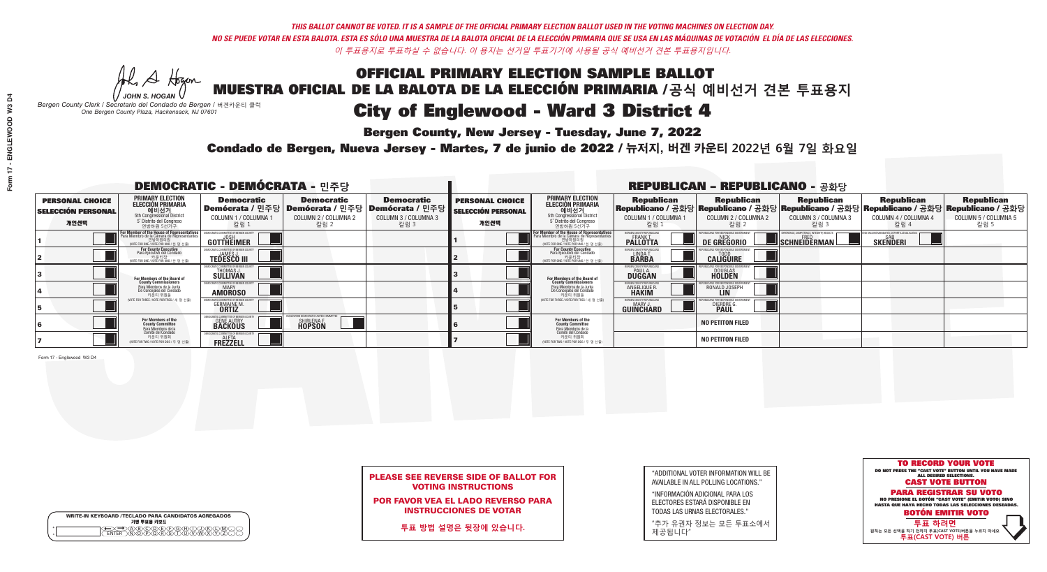**Bergen County, New Jersey - Tuesday, June 7, 2022** 

Al Stogan *JOHN S. HOGAN*

|                    | <b>WRITE-IN KEYBOARD /TECLADO PARA CANDIDATOS AGREGADOS</b><br>기명 투표용 키보드 |  |
|--------------------|---------------------------------------------------------------------------|--|
| $\circ$<br>$\circ$ | YEYEYAYAY<br>$\delta \infty$                                              |  |

*Bergen County Clerk / Secretario del Condado de Bergen /* 버겐카운티 클럭 *One Bergen County Plaza, Hackensack, NJ 07601*

Condado de Bergen, Nueva Jersey - Martes, 7 de junio de 2022 / 뉴저지, 버겐 카운티 2022년 6월 7일 화요일 *One Bergen County Plaza, Hackensack, NJ 07601*



### PLEASE SEE REVERSE SIDE OF BALLOT FOR VOTING INSTRUCTIONS

POR FAVOR VEA EL LADO REVERSO PARA INSTRUCCIONES DE VOTAR

**투표 방법 설명은 뒷장에 있습니다.**

| "ADDITIONAL VOTER INFORMATION WILL BE |
|---------------------------------------|
| AVAILABLE IN ALL POLLING LOCATIONS."  |
|                                       |

"INFORMACIÓN ADICIONAL PARA LOS ELECTORES ESTARÁ DISPONIBLE EN TODAS LAS URNAS ELECTORALES."

"추가 유권자 정보는 모든 투표소에서 제공됩니다"

| <b>DEMOCRATIC - DEMÓCRATA - 민주당</b>                         |                                                                                                                                                      |                                                     |                                                   |                                                                                                              | <b>REPUBLICAN - REPUBLICANO - 공화당</b>                       |                                                                                                                                                 |                                                          |                                                                                                                                                  |                                                          |                                                   |                                                   |
|-------------------------------------------------------------|------------------------------------------------------------------------------------------------------------------------------------------------------|-----------------------------------------------------|---------------------------------------------------|--------------------------------------------------------------------------------------------------------------|-------------------------------------------------------------|-------------------------------------------------------------------------------------------------------------------------------------------------|----------------------------------------------------------|--------------------------------------------------------------------------------------------------------------------------------------------------|----------------------------------------------------------|---------------------------------------------------|---------------------------------------------------|
| <b>PERSONAL CHOICE</b><br><b>SELECCIÓN PERSONAL</b><br>개인선택 | <b>PRIMARY ELECTION</b><br><b>ELECCIÓN PRIMARIA</b><br>예비선거<br>5th Congressional District<br>5° Distrito del Congreso<br>연방하원 5선거구                   | <b>Democratic</b><br>COLUMN 1 / COLUMNA<br>칼럼 1     | <b>Democratic</b><br>COLUMN 2 / COLUMNA 2<br>칼럼 2 | <b>Democratic</b><br>  Demócrata / 민주당   Demócrata / 민주당   Demócrata / 민주당  <br>COLUMN 3 / COLUMNA 3<br>칼럼 3 | <b>PERSONAL CHOICE</b><br><b>SELECCIÓN PERSONAL</b><br>개인선택 | <b>PRIMARY ELECTION</b><br>ELECCIÓN PRIMARIA<br>예비선거<br>5th Congressional District<br>5 Distrito del Congreso<br>연방하원 5선거구                      | <b>Republican</b><br>COLUMN 1 / COLUMNA 1<br>"칼럼 1       | <b>Republican</b><br> Republicano / 공화당 Republicano / 공화당 Republicano / 공화당 Republicano / 공화당 Republicano / 공화당<br>COLUMN 2 / COLUMNA 2<br>-칼럼 2 | <b>Republican</b><br>COLUMN 3 / COLUMNA 3<br>칼럼 3        | <b>Republican</b><br>COLUMN 4 / COLUMNA 4<br>칼럼 4 | <b>Republican</b><br>COLUMN 5 / COLUMNA 5<br>칼럼 5 |
|                                                             | <b>For Member of the House of Representatives</b><br>Para Miembro de la Cámara de Representantes<br>연방하원의원<br>(VOTE FOR ONE / VOTE POR UNO / 한 명 선출) | COMMITTEE OF BERGEN COUN<br>GOTTHEIMER              |                                                   |                                                                                                              |                                                             | F <mark>or Member of the House of Representatives</mark><br>Para Miembro de la Cámara de Representantes<br>WOTE FOR ONE / VOTE POR UNO / 한 명 선출 | BERGEN COUNTY REPUBLICANS<br><b>FRANK T.</b><br>PALLOTTA | DE GREGORIO                                                                                                                                      | PERIENCE, COMPETENCE, INTEGRITY, RESULTS<br>SCHNEIDERMAN | <b>SKENDERI</b>                                   |                                                   |
|                                                             | For County Executive<br>Para Ejecutivo del Condado<br>/OTE FOR ONE / VOTE POR UNO / 한 명 선출)                                                          | <b>JAMES J</b><br><b>TEDESCO III</b>                |                                                   |                                                                                                              |                                                             | For County Executive<br>Para Ejecutivo del Condado<br>. 카운티장<br>(VOTE FOR ONE / VOTE POR UNO / 한 명 선출)                                          | BERGEN COUNTY REPUBLICAN<br>LINDA T.                     | <b>CALIGUIRE</b>                                                                                                                                 |                                                          |                                                   |                                                   |
|                                                             | For Members of the Board of<br>County Commissioners                                                                                                  | IOCRATIC COMMITTEE OF BERGEN CO<br>THOMAS J.        |                                                   |                                                                                                              |                                                             | <b>For Members of the Board of County Commissioners</b>                                                                                         | BERGEN COUNTY REPUBLICAN<br><b>DUGGAN</b>                | <b>DOUGLAS</b><br><b>HOLDEN</b>                                                                                                                  |                                                          |                                                   |                                                   |
|                                                             | Para Miembros de la Junta<br>De Concejales del Condado<br>카운티 위원들                                                                                    | OCRATIC COMMITTEE OF BERGEN COUN'<br><b>AMOROSO</b> |                                                   |                                                                                                              |                                                             | Para Miembros de la Junta<br>De Concejales del Condado<br>카운티 위원들                                                                               | RGEN COUNTY REPUBLICAN<br><b>ANGELIQUE R</b>             | RONALD JOSEPH                                                                                                                                    |                                                          |                                                   |                                                   |
|                                                             | NOTE FOR THREE / VOTE POR TRES / 세 명 선출)                                                                                                             | <b>GERMAINE M</b><br><b>ORTIZ</b>                   |                                                   |                                                                                                              |                                                             | (VOTE FOR THREE / VOTE POR TRES / 세 명 선출)                                                                                                       | ERGEN COUNTY REPUBLICAN<br>MARY J<br><b>GUINCHARD</b>    | <b>DIERDRE</b>                                                                                                                                   |                                                          |                                                   |                                                   |
|                                                             | For Members of the<br>County Committee<br>Para Miembros de la<br>Comité del Condado                                                                  | MOCRATIC COMMITTEE OF BERGEM<br><b>GENE AUTRY</b>   | SHIRLENA F.<br>HOPSON                             |                                                                                                              |                                                             | <b>For Members of the<br/>County Committee</b>                                                                                                  |                                                          | <b>NO PETITON FILED</b>                                                                                                                          |                                                          |                                                   |                                                   |
|                                                             | 카운티 위원회<br>(VOTE FOR TWO / VOTE POR DOS / 두 명 선출)                                                                                                    | <b>FREZZELL</b>                                     |                                                   |                                                                                                              |                                                             | Para Miembros de la<br>Comité del Condado<br>카운티 위원회<br>(VOTE FOR TWO / VOTE POR DOS / 두 명 선출)                                                  |                                                          | <b>NO PETITON FILED</b>                                                                                                                          |                                                          |                                                   |                                                   |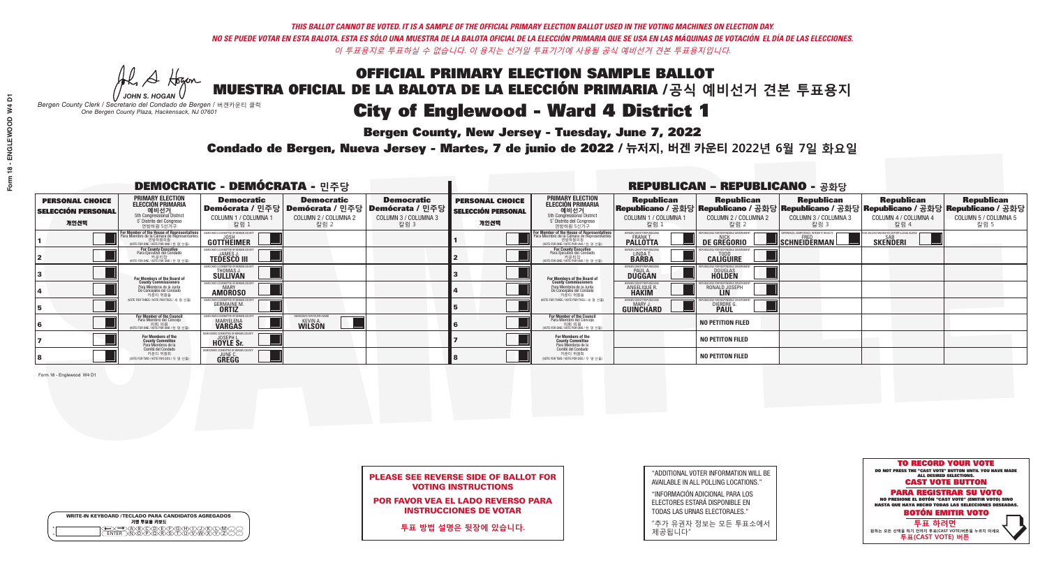**Bergen County, New Jersey - Tuesday, June 7, 2022** 

Al Stogan *JOHN S. HOGAN*

|        | <b>WRITE-IN KEYBOARD /TECLADO PARA CANDIDATOS AGREGADOS</b><br>기명 투표용 키보드 |  |
|--------|---------------------------------------------------------------------------|--|
| o<br>o | ACBCODECFOGCHOL<br><u> እንቅነፍ እንችነር</u>                                    |  |

*Bergen County Clerk / Secretario del Condado de Bergen /* 버겐카운티 클럭 *One Bergen County Plaza, Hackensack, NJ 07601*



PLEASE SEE REVERSE SIDE OF BALLOT FOR VOTING INSTRUCTIONS

POR FAVOR VEA EL LADO REVERSO PARA INSTRUCCIONES DE VOTAR

**투표 방법 설명은 뒷장에 있습니다.**

| "ADDITIONAL VOTER INFORMATION WILL BE |
|---------------------------------------|
| AVAILABLE IN ALL POLLING LOCATIONS."  |

"INFORMACIÓN ADICIONAL PARA LOS ELECTORES ESTARÁ DISPONIBLE EN TODAS LAS URNAS ELECTORALES."

"추가 유권자 정보는 모든 투표소에서 제공됩니다"

Condado de Bergen, Nueva Jersey - Martes, 7 de junio de 2022 / 뉴저지, 버겐 카운티 2022년 6월 7일 화요일 *One Bergen County Plaza, Hackensack, NJ 07601*

|                                                             |                                                                                                                                                            | <b>DEMOCRATIC - DEMÓCRATA - 민주당</b>                               |                                                                                                |                                           | <b>REPUBLICAN - REPUBLICANO - 공화당</b>                       |                                                                                                                                                            |                                                                     |                                                                                                                                                                                                             |                                                                  |                      |                      |  |
|-------------------------------------------------------------|------------------------------------------------------------------------------------------------------------------------------------------------------------|-------------------------------------------------------------------|------------------------------------------------------------------------------------------------|-------------------------------------------|-------------------------------------------------------------|------------------------------------------------------------------------------------------------------------------------------------------------------------|---------------------------------------------------------------------|-------------------------------------------------------------------------------------------------------------------------------------------------------------------------------------------------------------|------------------------------------------------------------------|----------------------|----------------------|--|
| <b>PERSONAL CHOICE</b><br><b>SELECCIÓN PERSONAL</b><br>개인선택 | <b>PRIMARY ELECTION</b><br>ELECCIÓN PRIMARIA<br>예비선거<br><sub>5th Congressional District</sub><br>5° Distrito del Congreso                                  | <b>Democratic</b><br>COLUMN 1 / COLUMNA 1                         | <b>Democratic</b><br>│Demócrata / 민주당│Demócrata / 민주당│Demócrata / 민주당┃<br>COLUMN 2 / COLUMNA 2 | <b>Democratic</b><br>COLUMN 3 / COLUMNA 3 | <b>PERSONAL CHOICE</b><br><b>SELECCIÓN PERSONAL</b><br>개인선택 | <b>PRIMARY ELECTION</b><br>ELECCIÓN PRIMARIA<br>예비선거<br>5th Congressional District<br>5 <sup>'</sup> Distrito del Congreso                                 | COLUMN 1 / COLUMNA 1                                                | │ Republican │ Republican │ Republican │ Republican Republican Republican Republican<br>│Republicano / 공화당│Republicano / 공화당│Republicano / 공화당│Republicano / 고화당│Republicano / 공화당│<br>COLUMN 2 / COLUMNA 2 | COLUMN 3 / COLUMNA 3                                             | COLUMN 4 / COLUMNA 4 | COLUMN 5 / COLUMNA 5 |  |
|                                                             | 연방하원 5선거구<br>For Member of the House of Representatives<br>Para Miembro de la Cámara de Representantes<br>연방하원의원<br>(VOTE FOR ONE / VOTE POR UNO / 한 명 선출) | 칼럼 :<br>DEMOCRATIC COMMITTEE OF BERGEN COL<br>GOTTHEIMER          | 칼럼 2                                                                                           | 칼럼 3                                      |                                                             | 연방하원 5선거구<br>For Member of the House of Representatives<br>Para Miembro de la Cámara de Representantes<br>연방하원의원<br>(VOTE FOR ONE / VOTE POR UNO / 한 명 선출) | 칼럼 :<br>BERGEN COUNTY REPUBLICANS<br><b>PALLOTTA</b>                | 칼럼 2<br>DE GREGORIO                                                                                                                                                                                         | 칼럼 3<br>PERIENCE. COMPETENCE. INTEGRITY. RESULTS<br>SCHNEIDERMAN | 칼럼 4<br>SKEÑDERI     | 칼럼 5                 |  |
|                                                             | For County Executive<br>Para Ejecutivo del Condado<br>가운티장 - 카운티장<br>(VOTE FOR ONE / VOTE POR UNO / 한 명 선출)                                                | <b>TEDESCO III</b>                                                |                                                                                                |                                           |                                                             | For County Executive<br>Para Ejecutivo del Condado<br>가운티장<br>(VOTE FOR ONE / VOTE POR UNO / 한 명 선출)                                                       | BERGEN COUNTY REPUBLICAN<br>LINDA T.                                | <b>CALIGUIRE</b>                                                                                                                                                                                            |                                                                  |                      |                      |  |
|                                                             | For Members of the Board of<br>County Commissioners                                                                                                        | THOMAS J.                                                         |                                                                                                |                                           |                                                             | For Members of the Board of<br>County Commissioners                                                                                                        | ERGEN COUNTY REPUBLICA<br><b>PAUL A.</b><br><b>DUGGAN</b>           | DOUGLAS<br>HOLDEN                                                                                                                                                                                           |                                                                  |                      |                      |  |
|                                                             | Para Miembros de la Junta<br>De Concejales del Condado<br>카운티 위원들                                                                                          | RATIC COMMITTEE OF BERGEN COUNT<br><b>MARY</b><br><b>AMOROSO</b>  |                                                                                                |                                           |                                                             | Para Miembros de la Junta<br>De Concejales del Condado<br>카운티 위원들                                                                                          | <b>RGEN COUNTY REPUBLICAL</b><br><b>ANGELIQUE R</b><br><b>HAKIM</b> | RONALD JOSEPH                                                                                                                                                                                               |                                                                  |                      |                      |  |
|                                                             | VOTE FOR THREE / VOTE POR TRES / 세 명 서축                                                                                                                    | <b>GERMAINE M</b><br><b>ORTIZ</b>                                 |                                                                                                |                                           |                                                             | NOTE FOR THREE / VOTE POR TRES / 세 명 서축                                                                                                                    | <b>RGEN COUNTY REPUBLICANS</b><br><b>GUINCHARD</b>                  | DIERDRE G                                                                                                                                                                                                   |                                                                  |                      |                      |  |
|                                                             | <b>For Member of the Council</b><br>Para Miembro del Conceio<br>NOTE FOR ONE / VOTE POR UNO / 하 명 서                                                        | MOCRATIC COMMITTEE OF BERGEN<br><b>MARYELENA</b><br><b>VARGAS</b> | 10CRATS FOR FOURTH WAR<br><b>KEVIN A.</b><br><b>WILSON</b>                                     |                                           |                                                             | <b>For Member of the Council</b><br>Para Miembro del Conceio<br>이회의원<br>(VOTE FOR ONE / VOTE POR UNO / 한명선                                                 |                                                                     | <b>NO PETITION FILED</b>                                                                                                                                                                                    |                                                                  |                      |                      |  |
|                                                             | For Members of the<br>County Committee<br>Para Miembros de la<br>Comité del Condado                                                                        | OCRATIC COMMITTEE OF BERGEN<br><b>HOYLE Sr.</b>                   |                                                                                                |                                           |                                                             | For Members of the<br>County Committee<br>Para Miembros de la<br>Comité del Condado                                                                        |                                                                     | <b>NO PETITON FILED</b>                                                                                                                                                                                     |                                                                  |                      |                      |  |
|                                                             | 카운티 위원회<br>(VOTE FOR TWO / VOTE POR DOS / 두 명 선출)                                                                                                          | <b>JUNE C.</b><br>GREGG                                           |                                                                                                |                                           |                                                             | 카운티 위원회<br>WOTE FOR TWO / VOTE POR DOS / 두 명 선출)                                                                                                           |                                                                     | <b>NO PETITON FILED</b>                                                                                                                                                                                     |                                                                  |                      |                      |  |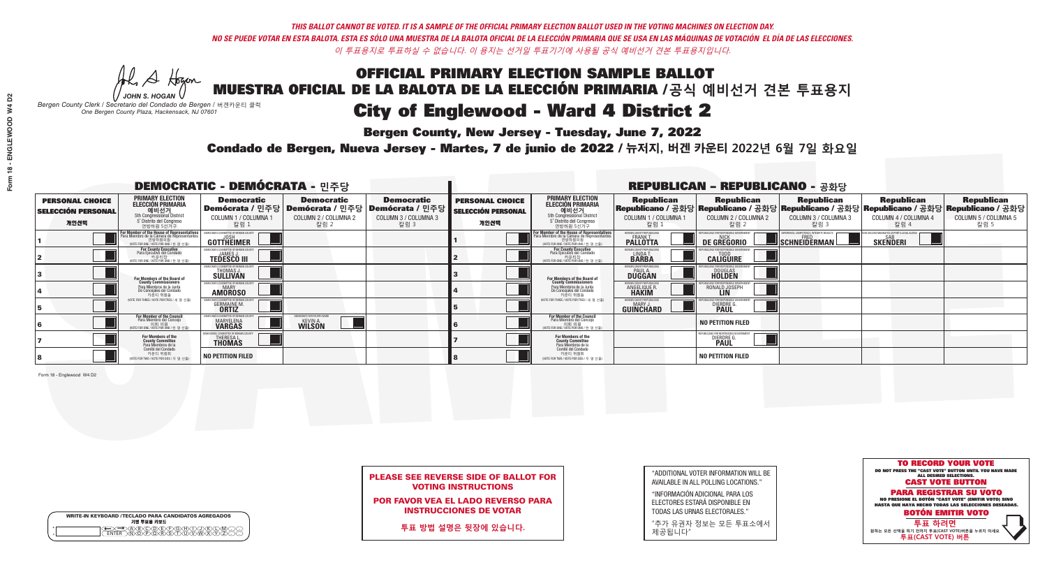**Bergen County, New Jersey - Tuesday, June 7, 2022** 

Al Stogan *JOHN S. HOGAN*

|        | <b>WRITE-IN KEYBOARD /TECLADO PARA CANDIDATOS AGREGADOS</b><br>기명 투표용 키보드 |  |
|--------|---------------------------------------------------------------------------|--|
| o<br>o | ACBCODECFOGCHOL<br><u> እንቅነፍ እንችነር</u>                                    |  |

*Bergen County Clerk / Secretario del Condado de Bergen /* 버겐카운티 클럭 *One Bergen County Plaza, Hackensack, NJ 07601*



PLEASE SEE REVERSE SIDE OF BALLOT FOR VOTING INSTRUCTIONS

POR FAVOR VEA EL LADO REVERSO PARA INSTRUCCIONES DE VOTAR

**투표 방법 설명은 뒷장에 있습니다.**

| "ADDITIONAL VOTER INFORMATION WILL BE |
|---------------------------------------|
| AVAILABLE IN ALL POLLING LOCATIONS."  |
|                                       |

"INFORMACIÓN ADICIONAL PARA LOS ELECTORES ESTARÁ DISPONIBLE EN TODAS LAS URNAS ELECTORALES."

"추가 유권자 정보는 모든 투표소에서 제공됩니다"

Condado de Bergen, Nueva Jersey - Martes, 7 de junio de 2022 / 뉴저지, 버겐 카운티 2022년 6월 7일 화요일 *One Bergen County Plaza, Hackensack, NJ 07601*

|                                                     |                                                                                                                                                       | <b>DEMOCRATIC - DEMÓCRATA - 민주당</b>                               |                                                                        |                              | <b>REPUBLICAN - REPUBLICANO - 공화당</b>               |                                                                                                                                                       |                                                                     |                                              |                                                          |                                                           |                                                                                                                                                                         |  |
|-----------------------------------------------------|-------------------------------------------------------------------------------------------------------------------------------------------------------|-------------------------------------------------------------------|------------------------------------------------------------------------|------------------------------|-----------------------------------------------------|-------------------------------------------------------------------------------------------------------------------------------------------------------|---------------------------------------------------------------------|----------------------------------------------|----------------------------------------------------------|-----------------------------------------------------------|-------------------------------------------------------------------------------------------------------------------------------------------------------------------------|--|
| <b>PERSONAL CHOICE</b><br><b>SELECCIÓN PERSONAL</b> | <b>PRIMARY ELECTION</b><br>ELECCIÓN PRIMARIA<br>예비선거<br><sub>5th Congressional District</sub>                                                         | <b>Democratic</b>                                                 | <b>Democratic</b><br>│Demócrata / 민주당│Demócrata / 민주당│Demócrata / 민주당┃ | <b>Democratic</b>            | <b>PERSONAL CHOICE</b><br><b>SELECCIÓN PERSONAL</b> | <b>PRIMARY ELECTION</b><br><b>ELECCIÓN PRIMARIA</b><br><b>에비선거</b><br>5th Congressional District<br>5 <sup>'</sup> Distrito del Congreso              |                                                                     |                                              |                                                          |                                                           | │ Republican │ Republican │ Republican │ Republican Republican Republican<br>│Republicano / 공화당│Republicano / 공화당│Republicano / 공화당│Republicano / 공화당│Republicano / 공화당 |  |
| 개인선택                                                | 5° Distrito del Congreso<br>연방하원 5선거구                                                                                                                 | COLUMN 1 / COLUMNA 1<br>칼럼 :                                      | COLUMN 2 / COLUMNA 2<br>칼럼 2                                           | COLUMN 3 / COLUMNA 3<br>칼럼 3 | 개인선택                                                | 연방하원 5선거구                                                                                                                                             | COLUMN 1 / COLUMNA 1<br>칼럼 :                                        | COLUMN 2 / COLUMNA 2<br>·칼럼 2                | COLUMN 3 / COLUMNA 3<br>칼럼 3                             | COLUMN 4 / COLUMNA 4<br>칼럼 4                              | COLUMN 5 / COLUMNA 5<br>칼럼 5                                                                                                                                            |  |
|                                                     | F <b>or Member of the House of Representatives</b><br>Para Miembro de la Cámara de Representantes<br>연방하원의원<br>(VOTE FOR ONE / VOTE POR UNO / 한 명 선출) | DEMOCRATIC COMMITTEE OF BERGEN COUNT<br>GOTTHEIMER                |                                                                        |                              |                                                     | <b>For Member of the House of Representatives<br/>Para Miembro de la Cámara de Representantes</b><br>연방하원의원<br>(VOTE FOR ONE / VOTE POR UNO / 한 명 선출) | BERGEN COUNTY REPUBLICANS<br><b>PALLOTTA</b>                        | DE GREGORIO                                  | PERIENCE. COMPETENCE. INTEGRITY. RESULTS<br>SCHNEIDERMAN | VACCINE MANDATES, DEPORT ILLEGAL ALIEN<br><b>SKENDERI</b> |                                                                                                                                                                         |  |
|                                                     | For County Executive<br>Para Ejecutivo del Condado<br>가운티장 - 카운티장<br>(VOTE FOR ONE / VOTE POR UNO / 한 명 선출)                                           | <b>TEDESCO III</b>                                                |                                                                        |                              |                                                     | For County Executive<br>Para Ejecutivo del Condado<br>7 카운티장<br>(VOTE FOR ONE / VOTE POR UNO / 한 명 선출                                                 | BERGEN COUNTY REPUBLICAN<br>LINDA T.                                | <b>CALIGUIRE</b>                             |                                                          |                                                           |                                                                                                                                                                         |  |
|                                                     | For Members of the Board of<br>County Commissioners                                                                                                   | THOMAS J.                                                         |                                                                        |                              |                                                     | For Members of the Board of<br>County Commissioners                                                                                                   | ERGEN COUNTY REPUBLICA<br><b>PAUL A.</b><br><b>DUGGAN</b>           | <b>DOUGLAS</b><br><b>HOLDEN</b>              |                                                          |                                                           |                                                                                                                                                                         |  |
|                                                     | Para Miembros de la Junta<br>De Concejales del Condado<br>카운티 위원들                                                                                     | CRATIC COMMITTEE OF BERGEN COUNT<br><b>MARY</b><br><b>AMOROSO</b> |                                                                        |                              |                                                     | Para Miembros de la Junta<br>De Concejales del Condado<br>카운티 위원들                                                                                     | <b>RGEN COUNTY REPUBLICAL</b><br><b>ANGELIQUE R</b><br><b>HAKIM</b> | RONALD JOSEPH                                |                                                          |                                                           |                                                                                                                                                                         |  |
|                                                     | VOTE FOR THREE / VOTE POR TRES / 세 명 서축                                                                                                               | <b>GERMAINE M</b><br><b>ORTIZ</b>                                 |                                                                        |                              |                                                     | NOTE FOR THREE / VOTE POR TRES / 세 명 선출                                                                                                               | ERGEN COUNTY REPUBLICANS<br><b>GUINCHARD</b>                        | DIERDRE G                                    |                                                          |                                                           |                                                                                                                                                                         |  |
|                                                     | <b>For Member of the Council</b><br>Para Miembro del Conceio<br>NOTE FOR ONE / VOTE POR UNO / 하 명 서                                                   | MOCRATIC COMMITTEE OF BERGEN<br><b>MARYELENA</b><br><b>VARGAS</b> | AOCRATS FOR FOURTH WAR<br><b>KEVIN A.</b><br><b>WILSON</b>             |                              |                                                     | <b>For Member of the Council</b><br>Para Miembro del Conceio<br>의회 의원<br>^VOTE FOR ONE / VOTE POR UNO / 한 명 선출!                                       |                                                                     | <b>NO PETITION FILED</b>                     |                                                          |                                                           |                                                                                                                                                                         |  |
|                                                     | For Members of the<br>County Committee<br>Para Miembros de la<br>Comité del Condado                                                                   | CRATIC COMMITTEE OF BERGEN CI<br>THERESAL THOMAS                  |                                                                        |                              |                                                     | <b>For Members of the<br/>County Committee</b><br>Para Miembros de la<br>Comité del Condado                                                           |                                                                     | EPUBLICANS FOR RESPONSIBLE GOV<br>DIERDRE G. |                                                          |                                                           |                                                                                                                                                                         |  |
|                                                     | 카운티 위원회<br>WOTE FOR TWO / VOTE POR DOS / 두 명 선출)                                                                                                      | <b>NO PETITION FILED</b>                                          |                                                                        |                              |                                                     | 카운티 위원회<br>(VOTE FOR TWO / VOTE POR DOS / 두 명 선출)                                                                                                     |                                                                     | NO PETITION FILED                            |                                                          |                                                           |                                                                                                                                                                         |  |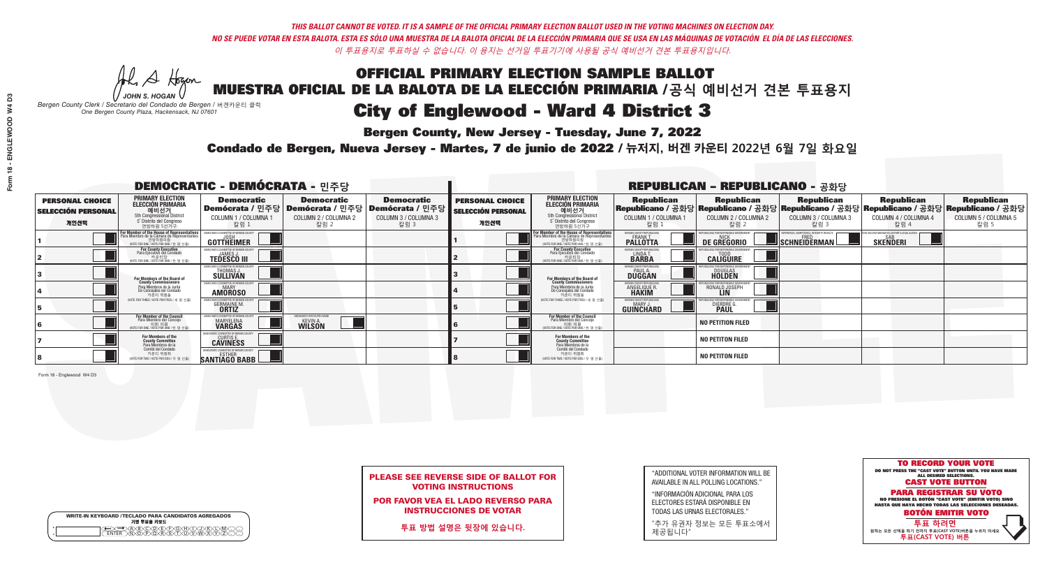**Bergen County, New Jersey - Tuesday, June 7, 2022** 

Al Stogan *JOHN S. HOGAN*

|        | <b>WRITE-IN KEYBOARD /TECLADO PARA CANDIDATOS AGREGADOS</b><br>기명 투표용 키보드 |  |
|--------|---------------------------------------------------------------------------|--|
| o<br>o | ACBCODECFOGCHOL<br><u> እንቅነፍ እንችነር</u>                                    |  |

*Bergen County Clerk / Secretario del Condado de Bergen /* 버겐카운티 클럭 *One Bergen County Plaza, Hackensack, NJ 07601*



| <b>PLEASE SEE REVERSE SIDE OF BALLOT FOR</b> |  |
|----------------------------------------------|--|
| <b>VOTING INSTRUCTIONS</b>                   |  |

POR FAVOR VEA EL LADO REVERSO PARA INSTRUCCIONES DE VOTAR

**투표 방법 설명은 뒷장에 있습니다.**

| "ADDITIONAL VOTER INFORMATION WILL BE |
|---------------------------------------|
| AVAILABLE IN ALL POLLING LOCATIONS."  |

"INFORMACIÓN ADICIONAL PARA LOS ELECTORES ESTARÁ DISPONIBLE EN TODAS LAS URNAS ELECTORALES."

"추가 유권자 정보는 모든 투표소에서 제공됩니다"

Condado de Bergen, Nueva Jersey - Martes, 7 de junio de 2022 / 뉴저지, 버겐 카운티 2022년 6월 7일 화요일 *One Bergen County Plaza, Hackensack, NJ 07601*

|                                                     |                                                                                                                                                      | <b>DEMOCRATIC - DEMÓCRATA - 민주당</b>                                 |                                                                        |                              | <b>REPUBLICAN - REPUBLICANO - 공화당</b>               |                                                                                                                                                       |                                                                  |                                 |                                                                                                                                                                                     |                                                              |                              |  |
|-----------------------------------------------------|------------------------------------------------------------------------------------------------------------------------------------------------------|---------------------------------------------------------------------|------------------------------------------------------------------------|------------------------------|-----------------------------------------------------|-------------------------------------------------------------------------------------------------------------------------------------------------------|------------------------------------------------------------------|---------------------------------|-------------------------------------------------------------------------------------------------------------------------------------------------------------------------------------|--------------------------------------------------------------|------------------------------|--|
| <b>PERSONAL CHOICE</b><br><b>SELECCIÓN PERSONAL</b> | <b>PRIMARY ELECTION</b><br>ELECCIÓN PRIMARIA<br>예비선거<br><sub>5th Congressional District</sub>                                                        | <b>Democratic</b>                                                   | <b>Democratic</b><br>│Demócrata / 민주당│Demócrata / 민주당│Demócrata / 민주당┃ | <b>Democratic</b>            | <b>PERSONAL CHOICE</b><br><b>SELECCIÓN PERSONAL</b> | <b>PRIMARY ELECTION</b><br>ELECCIÓN PRIMARIA<br>예비선거<br>5th Congressional District<br>5 <sup>'</sup> Distrito del Congreso                            |                                                                  |                                 | │ Republican │ Republican │ Republican │ Republican Republican Republican Republican<br>│Republicano / 공화당│Republicano / 공화당│Republicano / 공화당│Republicano / 고화당│Republicano / 공화당│ |                                                              |                              |  |
| 개인선택                                                | 5° Distrito del Congreso<br>연방하원 5선거구                                                                                                                | COLUMN 1 / COLUMNA 1<br>칼럼 :                                        | COLUMN 2 / COLUMNA 2<br>칼럼 2                                           | COLUMN 3 / COLUMNA 3<br>칼럼 3 | 개인선택                                                | 연방하원 5선거구                                                                                                                                             | COLUMN 1 / COLUMNA 1<br>칼럼 :                                     | COLUMN 2 / COLUMNA 2<br>칼럼 2    | COLUMN 3 / COLUMNA 3<br>칼럼 3                                                                                                                                                        | COLUMN 4 / COLUMNA 4<br>칼럼 4                                 | COLUMN 5 / COLUMNA 5<br>칼럼 5 |  |
|                                                     | <b>For Member of the House of Representatives</b><br>Para Miembro de la Cámara de Representantes<br>연방하원의원<br>(VOTE FOR ONE / VOTE POR UNO / 한 명 선출) | GOTTHEIMER                                                          |                                                                        |                              |                                                     | <b>For Member of the House of Representatives<br/>Para Miembro de la Cámara de Representantes</b><br>연방하원의원<br>(VOTE FOR ONE / VOTE POR UNO / 한 명 선출) | BERGEN COUNTY REPUBLICAN:<br><b>PALLOTTA</b>                     | DE GREGORIO                     | XPERIENCE, COMPETENCE, INTEGRITY, RESULTS<br>SCHNEIDERMAN                                                                                                                           | ) VACCINE MANDATES, DEPORT ILLEGAL ALIEN:<br><b>SKENDERI</b> |                              |  |
|                                                     | For County Executive<br>Para Ejecutivo del Condado<br>가운티장<br>(VOTE FOR ONE / VOTE POR UNO / 한 명 선출)                                                 | <b>TEDESCO III</b>                                                  |                                                                        |                              |                                                     | For County Executive<br>Para Ejecutivo del Condado<br>7) 카운티장<br>(VOTE FOR ONE / VOTE POR UNO / 한 명 선출)                                               | LINDA T.                                                         | <b>CALIGUIRE</b>                |                                                                                                                                                                                     |                                                              |                              |  |
|                                                     | For Members of the Board of<br>County Commissioners                                                                                                  | MOCRATIC COMMITTEE OF RERGEN<br>THOMAS J.                           |                                                                        |                              |                                                     | For Members of the Board of<br>County Commissioners                                                                                                   | <b>FRGEN COUNTY REPUBLICA</b><br><b>PAUL A.</b><br><b>DUGGAN</b> | <b>DOUGLAS</b><br><b>HOLDEN</b> |                                                                                                                                                                                     |                                                              |                              |  |
|                                                     | Para Miembros de la Junta<br>De Concejales del Condado<br>카우티 위원들                                                                                    | IOCRATIC COMMITTEE OF BERGEN COUNT<br><b>MARY</b><br><b>AMOROSO</b> |                                                                        |                              |                                                     | Para Miembros de la Junta<br>De Concejales del Condado<br>카운티 위원들                                                                                     | RGEN COUNTY REPUBLICAI<br><b>ANGELIQUE R</b>                     | RONALD JOSEPH                   |                                                                                                                                                                                     |                                                              |                              |  |
|                                                     | VOTE FOR THREF / VOTE POR TRES / 세 명 서축                                                                                                              | <b>GERMAINE M</b><br><b>ORTIZ</b>                                   |                                                                        |                              |                                                     | NOTE FOR THREE / VOTE POR TRES / 세 명 선출                                                                                                               | ERGEN COUNTY REPUBLICANS<br><b>GUINCHARD</b>                     | DIERDRE <sup>C</sup>            |                                                                                                                                                                                     |                                                              |                              |  |
|                                                     | For Member of the Council<br>Para Miembro del Concejo<br>NOTE FOR ONE / VOTE POR UNO / 하 명 서                                                         | EMOCRATIC COMMITTEE OF BERGEN<br>MARYELENA<br><b>VARGAS</b>         | 10CRATS FOR FOURTH WAI<br><b>KEVIN A.</b><br><b>WILSON</b>             |                              |                                                     | <b>For Member of the Council</b><br>Para Miembro del Concejo<br>이호 의원<br>(VOTE FOR ONE / VOTE POR UNO / 한명선                                           |                                                                  | <b>NO PETITION FILED</b>        |                                                                                                                                                                                     |                                                              |                              |  |
|                                                     | For Members of the<br>County Committee<br>Para Miembros de la<br>Comité del Condado                                                                  | <b>CURTIS E.</b><br>CAVINESS                                        |                                                                        |                              |                                                     | For Members of the<br>County Committee<br>Para Miembros de la<br>Comité del Condado                                                                   |                                                                  | <b>NO PETITON FILED</b>         |                                                                                                                                                                                     |                                                              |                              |  |
|                                                     | 카운티 위원회<br>(VOTE FOR TWO / VOTE POR DOS / 두 명 선출)                                                                                                    | <b>SANTIAGO BABB</b>                                                |                                                                        |                              |                                                     | 카운티 위원회<br>WOTE FOR TWO / VOTE POR DOS / 두 명 선출)                                                                                                      |                                                                  | <b>NO PETITON FILED</b>         |                                                                                                                                                                                     |                                                              |                              |  |